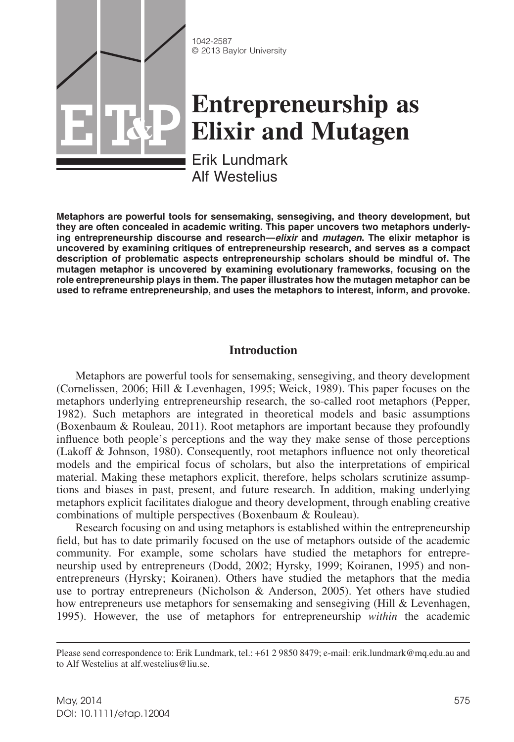

**Metaphors are powerful tools for sensemaking, sensegiving, and theory development, but they are often concealed in academic writing. This paper uncovers two metaphors underlying entrepreneurship discourse and research—***elixir* **and** *mutagen***. The elixir metaphor is uncovered by examining critiques of entrepreneurship research, and serves as a compact description of problematic aspects entrepreneurship scholars should be mindful of. The mutagen metaphor is uncovered by examining evolutionary frameworks, focusing on the role entrepreneurship plays in them. The paper illustrates how the mutagen metaphor can be used to reframe entrepreneurship, and uses the metaphors to interest, inform, and provoke.**

# **Introduction**

Metaphors are powerful tools for sensemaking, sensegiving, and theory development (Cornelissen, 2006; Hill & Levenhagen, 1995; Weick, 1989). This paper focuses on the metaphors underlying entrepreneurship research, the so-called root metaphors (Pepper, 1982). Such metaphors are integrated in theoretical models and basic assumptions (Boxenbaum & Rouleau, 2011). Root metaphors are important because they profoundly influence both people's perceptions and the way they make sense of those perceptions (Lakoff & Johnson, 1980). Consequently, root metaphors influence not only theoretical models and the empirical focus of scholars, but also the interpretations of empirical material. Making these metaphors explicit, therefore, helps scholars scrutinize assumptions and biases in past, present, and future research. In addition, making underlying metaphors explicit facilitates dialogue and theory development, through enabling creative combinations of multiple perspectives (Boxenbaum & Rouleau).

Research focusing on and using metaphors is established within the entrepreneurship field, but has to date primarily focused on the use of metaphors outside of the academic community. For example, some scholars have studied the metaphors for entrepreneurship used by entrepreneurs (Dodd, 2002; Hyrsky, 1999; Koiranen, 1995) and nonentrepreneurs (Hyrsky; Koiranen). Others have studied the metaphors that the media use to portray entrepreneurs (Nicholson & Anderson, 2005). Yet others have studied how entrepreneurs use metaphors for sensemaking and sensegiving (Hill & Levenhagen, 1995). However, the use of metaphors for entrepreneurship *within* the academic

Please send correspondence to: Erik Lundmark, tel.: +61 2 9850 8479; e-mail: erik.lundmark@mq.edu.au and to Alf Westelius at alf.westelius@liu.se.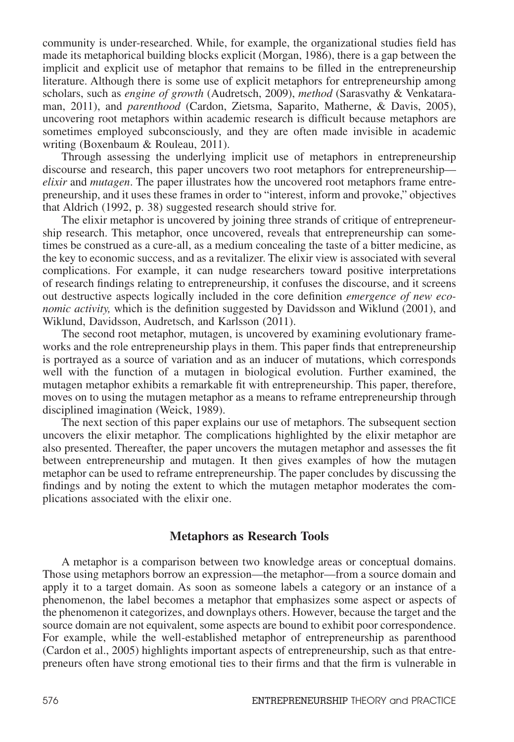community is under-researched. While, for example, the organizational studies field has made its metaphorical building blocks explicit (Morgan, 1986), there is a gap between the implicit and explicit use of metaphor that remains to be filled in the entrepreneurship literature. Although there is some use of explicit metaphors for entrepreneurship among scholars, such as *engine of growth* (Audretsch, 2009), *method* (Sarasvathy & Venkataraman, 2011), and *parenthood* (Cardon, Zietsma, Saparito, Matherne, & Davis, 2005), uncovering root metaphors within academic research is difficult because metaphors are sometimes employed subconsciously, and they are often made invisible in academic writing (Boxenbaum & Rouleau, 2011).

Through assessing the underlying implicit use of metaphors in entrepreneurship discourse and research, this paper uncovers two root metaphors for entrepreneurship *elixir* and *mutagen*. The paper illustrates how the uncovered root metaphors frame entrepreneurship, and it uses these frames in order to "interest, inform and provoke," objectives that Aldrich (1992, p. 38) suggested research should strive for.

The elixir metaphor is uncovered by joining three strands of critique of entrepreneurship research. This metaphor, once uncovered, reveals that entrepreneurship can sometimes be construed as a cure-all, as a medium concealing the taste of a bitter medicine, as the key to economic success, and as a revitalizer. The elixir view is associated with several complications. For example, it can nudge researchers toward positive interpretations of research findings relating to entrepreneurship, it confuses the discourse, and it screens out destructive aspects logically included in the core definition *emergence of new economic activity,* which is the definition suggested by Davidsson and Wiklund (2001), and Wiklund, Davidsson, Audretsch, and Karlsson (2011).

The second root metaphor, mutagen, is uncovered by examining evolutionary frameworks and the role entrepreneurship plays in them. This paper finds that entrepreneurship is portrayed as a source of variation and as an inducer of mutations, which corresponds well with the function of a mutagen in biological evolution. Further examined, the mutagen metaphor exhibits a remarkable fit with entrepreneurship. This paper, therefore, moves on to using the mutagen metaphor as a means to reframe entrepreneurship through disciplined imagination (Weick, 1989).

The next section of this paper explains our use of metaphors. The subsequent section uncovers the elixir metaphor. The complications highlighted by the elixir metaphor are also presented. Thereafter, the paper uncovers the mutagen metaphor and assesses the fit between entrepreneurship and mutagen. It then gives examples of how the mutagen metaphor can be used to reframe entrepreneurship. The paper concludes by discussing the findings and by noting the extent to which the mutagen metaphor moderates the complications associated with the elixir one.

## **Metaphors as Research Tools**

A metaphor is a comparison between two knowledge areas or conceptual domains. Those using metaphors borrow an expression—the metaphor—from a source domain and apply it to a target domain. As soon as someone labels a category or an instance of a phenomenon, the label becomes a metaphor that emphasizes some aspect or aspects of the phenomenon it categorizes, and downplays others. However, because the target and the source domain are not equivalent, some aspects are bound to exhibit poor correspondence. For example, while the well-established metaphor of entrepreneurship as parenthood (Cardon et al., 2005) highlights important aspects of entrepreneurship, such as that entrepreneurs often have strong emotional ties to their firms and that the firm is vulnerable in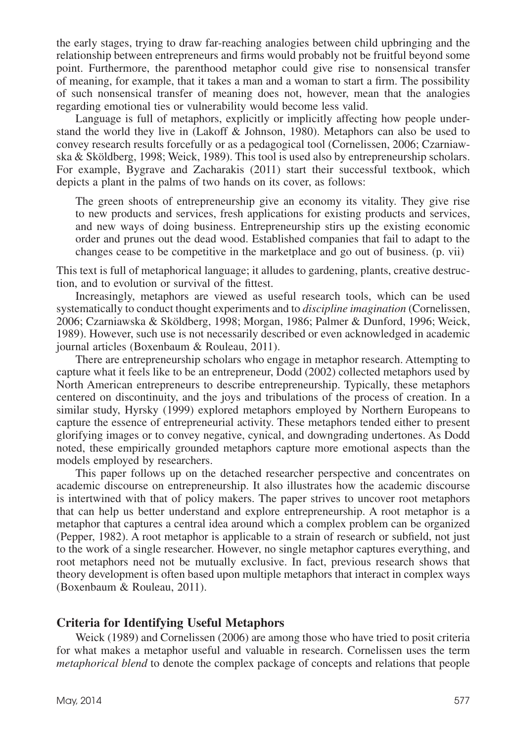the early stages, trying to draw far-reaching analogies between child upbringing and the relationship between entrepreneurs and firms would probably not be fruitful beyond some point. Furthermore, the parenthood metaphor could give rise to nonsensical transfer of meaning, for example, that it takes a man and a woman to start a firm. The possibility of such nonsensical transfer of meaning does not, however, mean that the analogies regarding emotional ties or vulnerability would become less valid.

Language is full of metaphors, explicitly or implicitly affecting how people understand the world they live in (Lakoff & Johnson, 1980). Metaphors can also be used to convey research results forcefully or as a pedagogical tool (Cornelissen, 2006; Czarniawska & Sköldberg, 1998; Weick, 1989). This tool is used also by entrepreneurship scholars. For example, Bygrave and Zacharakis (2011) start their successful textbook, which depicts a plant in the palms of two hands on its cover, as follows:

The green shoots of entrepreneurship give an economy its vitality. They give rise to new products and services, fresh applications for existing products and services, and new ways of doing business. Entrepreneurship stirs up the existing economic order and prunes out the dead wood. Established companies that fail to adapt to the changes cease to be competitive in the marketplace and go out of business. (p. vii)

This text is full of metaphorical language; it alludes to gardening, plants, creative destruction, and to evolution or survival of the fittest.

Increasingly, metaphors are viewed as useful research tools, which can be used systematically to conduct thought experiments and to *discipline imagination* (Cornelissen, 2006; Czarniawska & Sköldberg, 1998; Morgan, 1986; Palmer & Dunford, 1996; Weick, 1989). However, such use is not necessarily described or even acknowledged in academic journal articles (Boxenbaum & Rouleau, 2011).

There are entrepreneurship scholars who engage in metaphor research. Attempting to capture what it feels like to be an entrepreneur, Dodd (2002) collected metaphors used by North American entrepreneurs to describe entrepreneurship. Typically, these metaphors centered on discontinuity, and the joys and tribulations of the process of creation. In a similar study, Hyrsky (1999) explored metaphors employed by Northern Europeans to capture the essence of entrepreneurial activity. These metaphors tended either to present glorifying images or to convey negative, cynical, and downgrading undertones. As Dodd noted, these empirically grounded metaphors capture more emotional aspects than the models employed by researchers.

This paper follows up on the detached researcher perspective and concentrates on academic discourse on entrepreneurship. It also illustrates how the academic discourse is intertwined with that of policy makers. The paper strives to uncover root metaphors that can help us better understand and explore entrepreneurship. A root metaphor is a metaphor that captures a central idea around which a complex problem can be organized (Pepper, 1982). A root metaphor is applicable to a strain of research or subfield, not just to the work of a single researcher. However, no single metaphor captures everything, and root metaphors need not be mutually exclusive. In fact, previous research shows that theory development is often based upon multiple metaphors that interact in complex ways (Boxenbaum & Rouleau, 2011).

#### **Criteria for Identifying Useful Metaphors**

Weick (1989) and Cornelissen (2006) are among those who have tried to posit criteria for what makes a metaphor useful and valuable in research. Cornelissen uses the term *metaphorical blend* to denote the complex package of concepts and relations that people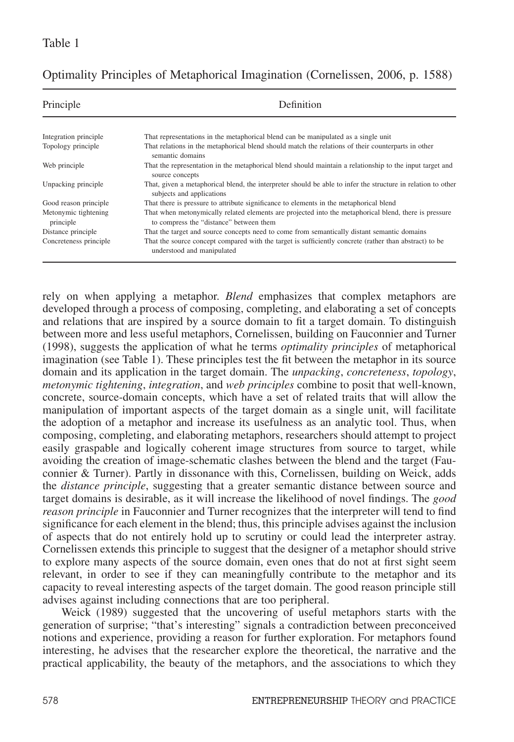| Principle                         | Definition                                                                                                                                       |
|-----------------------------------|--------------------------------------------------------------------------------------------------------------------------------------------------|
|                                   |                                                                                                                                                  |
| Integration principle             | That representations in the metaphorical blend can be manipulated as a single unit                                                               |
| Topology principle                | That relations in the metaphorical blend should match the relations of their counterparts in other<br>semantic domains                           |
| Web principle                     | That the representation in the metaphorical blend should maintain a relationship to the input target and<br>source concepts                      |
| Unpacking principle               | That, given a metaphorical blend, the interpreter should be able to infer the structure in relation to other<br>subjects and applications        |
| Good reason principle             | That there is pressure to attribute significance to elements in the metaphorical blend                                                           |
| Metonymic tightening<br>principle | That when metonymically related elements are projected into the metaphorical blend, there is pressure<br>to compress the "distance" between them |
| Distance principle                | That the target and source concepts need to come from semantically distant semantic domains                                                      |
| Concreteness principle            | That the source concept compared with the target is sufficiently concrete (rather than abstract) to be<br>understood and manipulated             |

# Optimality Principles of Metaphorical Imagination (Cornelissen, 2006, p. 1588)

rely on when applying a metaphor. *Blend* emphasizes that complex metaphors are developed through a process of composing, completing, and elaborating a set of concepts and relations that are inspired by a source domain to fit a target domain. To distinguish between more and less useful metaphors, Cornelissen, building on Fauconnier and Turner (1998), suggests the application of what he terms *optimality principles* of metaphorical imagination (see Table 1). These principles test the fit between the metaphor in its source domain and its application in the target domain. The *unpacking*, *concreteness*, *topology*, *metonymic tightening*, *integration*, and *web principles* combine to posit that well-known, concrete, source-domain concepts, which have a set of related traits that will allow the manipulation of important aspects of the target domain as a single unit, will facilitate the adoption of a metaphor and increase its usefulness as an analytic tool. Thus, when composing, completing, and elaborating metaphors, researchers should attempt to project easily graspable and logically coherent image structures from source to target, while avoiding the creation of image-schematic clashes between the blend and the target (Fauconnier & Turner). Partly in dissonance with this, Cornelissen, building on Weick, adds the *distance principle*, suggesting that a greater semantic distance between source and target domains is desirable, as it will increase the likelihood of novel findings. The *good reason principle* in Fauconnier and Turner recognizes that the interpreter will tend to find significance for each element in the blend; thus, this principle advises against the inclusion of aspects that do not entirely hold up to scrutiny or could lead the interpreter astray. Cornelissen extends this principle to suggest that the designer of a metaphor should strive to explore many aspects of the source domain, even ones that do not at first sight seem relevant, in order to see if they can meaningfully contribute to the metaphor and its capacity to reveal interesting aspects of the target domain. The good reason principle still advises against including connections that are too peripheral.

Weick (1989) suggested that the uncovering of useful metaphors starts with the generation of surprise; "that's interesting" signals a contradiction between preconceived notions and experience, providing a reason for further exploration. For metaphors found interesting, he advises that the researcher explore the theoretical, the narrative and the practical applicability, the beauty of the metaphors, and the associations to which they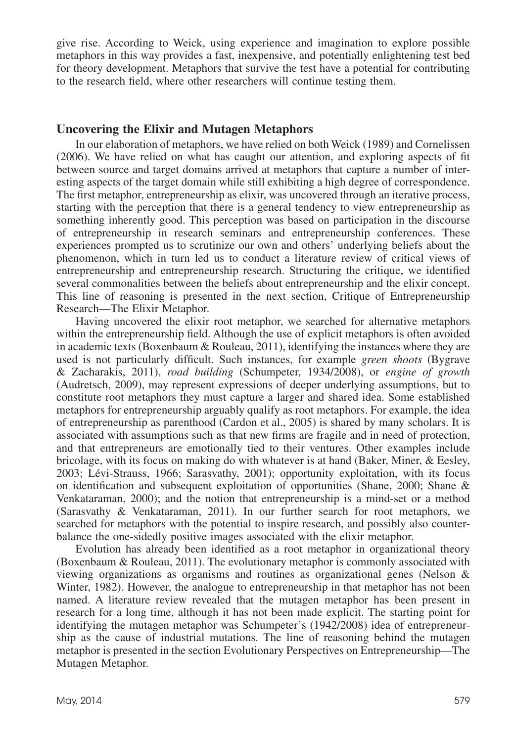give rise. According to Weick, using experience and imagination to explore possible metaphors in this way provides a fast, inexpensive, and potentially enlightening test bed for theory development. Metaphors that survive the test have a potential for contributing to the research field, where other researchers will continue testing them.

#### **Uncovering the Elixir and Mutagen Metaphors**

In our elaboration of metaphors, we have relied on both Weick (1989) and Cornelissen (2006). We have relied on what has caught our attention, and exploring aspects of fit between source and target domains arrived at metaphors that capture a number of interesting aspects of the target domain while still exhibiting a high degree of correspondence. The first metaphor, entrepreneurship as elixir, was uncovered through an iterative process, starting with the perception that there is a general tendency to view entrepreneurship as something inherently good. This perception was based on participation in the discourse of entrepreneurship in research seminars and entrepreneurship conferences. These experiences prompted us to scrutinize our own and others' underlying beliefs about the phenomenon, which in turn led us to conduct a literature review of critical views of entrepreneurship and entrepreneurship research. Structuring the critique, we identified several commonalities between the beliefs about entrepreneurship and the elixir concept. This line of reasoning is presented in the next section, Critique of Entrepreneurship Research—The Elixir Metaphor.

Having uncovered the elixir root metaphor, we searched for alternative metaphors within the entrepreneurship field. Although the use of explicit metaphors is often avoided in academic texts (Boxenbaum  $\&$  Rouleau, 2011), identifying the instances where they are used is not particularly difficult. Such instances, for example *green shoots* (Bygrave & Zacharakis, 2011), *road building* (Schumpeter, 1934/2008), or *engine of growth* (Audretsch, 2009), may represent expressions of deeper underlying assumptions, but to constitute root metaphors they must capture a larger and shared idea. Some established metaphors for entrepreneurship arguably qualify as root metaphors. For example, the idea of entrepreneurship as parenthood (Cardon et al., 2005) is shared by many scholars. It is associated with assumptions such as that new firms are fragile and in need of protection, and that entrepreneurs are emotionally tied to their ventures. Other examples include bricolage, with its focus on making do with whatever is at hand (Baker, Miner, & Eesley, 2003; Lévi-Strauss, 1966; Sarasvathy, 2001); opportunity exploitation, with its focus on identification and subsequent exploitation of opportunities (Shane, 2000; Shane & Venkataraman, 2000); and the notion that entrepreneurship is a mind-set or a method (Sarasvathy & Venkataraman, 2011). In our further search for root metaphors, we searched for metaphors with the potential to inspire research, and possibly also counterbalance the one-sidedly positive images associated with the elixir metaphor.

Evolution has already been identified as a root metaphor in organizational theory (Boxenbaum & Rouleau, 2011). The evolutionary metaphor is commonly associated with viewing organizations as organisms and routines as organizational genes (Nelson & Winter, 1982). However, the analogue to entrepreneurship in that metaphor has not been named. A literature review revealed that the mutagen metaphor has been present in research for a long time, although it has not been made explicit. The starting point for identifying the mutagen metaphor was Schumpeter's (1942/2008) idea of entrepreneurship as the cause of industrial mutations. The line of reasoning behind the mutagen metaphor is presented in the section Evolutionary Perspectives on Entrepreneurship—The Mutagen Metaphor.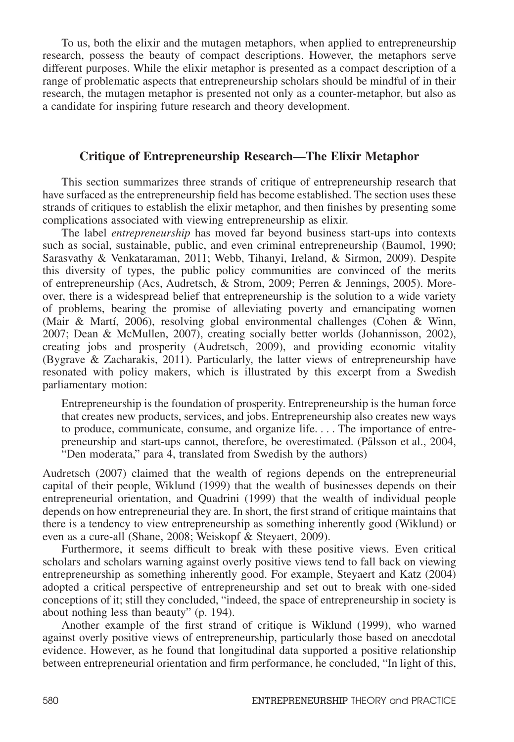To us, both the elixir and the mutagen metaphors, when applied to entrepreneurship research, possess the beauty of compact descriptions. However, the metaphors serve different purposes. While the elixir metaphor is presented as a compact description of a range of problematic aspects that entrepreneurship scholars should be mindful of in their research, the mutagen metaphor is presented not only as a counter-metaphor, but also as a candidate for inspiring future research and theory development.

## **Critique of Entrepreneurship Research—The Elixir Metaphor**

This section summarizes three strands of critique of entrepreneurship research that have surfaced as the entrepreneurship field has become established. The section uses these strands of critiques to establish the elixir metaphor, and then finishes by presenting some complications associated with viewing entrepreneurship as elixir.

The label *entrepreneurship* has moved far beyond business start-ups into contexts such as social, sustainable, public, and even criminal entrepreneurship (Baumol, 1990; Sarasvathy & Venkataraman, 2011; Webb, Tihanyi, Ireland, & Sirmon, 2009). Despite this diversity of types, the public policy communities are convinced of the merits of entrepreneurship (Acs, Audretsch, & Strom, 2009; Perren & Jennings, 2005). Moreover, there is a widespread belief that entrepreneurship is the solution to a wide variety of problems, bearing the promise of alleviating poverty and emancipating women (Mair & Martí, 2006), resolving global environmental challenges (Cohen & Winn, 2007; Dean & McMullen, 2007), creating socially better worlds (Johannisson, 2002), creating jobs and prosperity (Audretsch, 2009), and providing economic vitality (Bygrave & Zacharakis, 2011). Particularly, the latter views of entrepreneurship have resonated with policy makers, which is illustrated by this excerpt from a Swedish parliamentary motion:

Entrepreneurship is the foundation of prosperity. Entrepreneurship is the human force that creates new products, services, and jobs. Entrepreneurship also creates new ways to produce, communicate, consume, and organize life. . . . The importance of entrepreneurship and start-ups cannot, therefore, be overestimated. (Pålsson et al., 2004, "Den moderata," para 4, translated from Swedish by the authors)

Audretsch (2007) claimed that the wealth of regions depends on the entrepreneurial capital of their people, Wiklund (1999) that the wealth of businesses depends on their entrepreneurial orientation, and Quadrini (1999) that the wealth of individual people depends on how entrepreneurial they are. In short, the first strand of critique maintains that there is a tendency to view entrepreneurship as something inherently good (Wiklund) or even as a cure-all (Shane, 2008; Weiskopf & Steyaert, 2009).

Furthermore, it seems difficult to break with these positive views. Even critical scholars and scholars warning against overly positive views tend to fall back on viewing entrepreneurship as something inherently good. For example, Steyaert and Katz (2004) adopted a critical perspective of entrepreneurship and set out to break with one-sided conceptions of it; still they concluded, "indeed, the space of entrepreneurship in society is about nothing less than beauty" (p. 194).

Another example of the first strand of critique is Wiklund (1999), who warned against overly positive views of entrepreneurship, particularly those based on anecdotal evidence. However, as he found that longitudinal data supported a positive relationship between entrepreneurial orientation and firm performance, he concluded, "In light of this,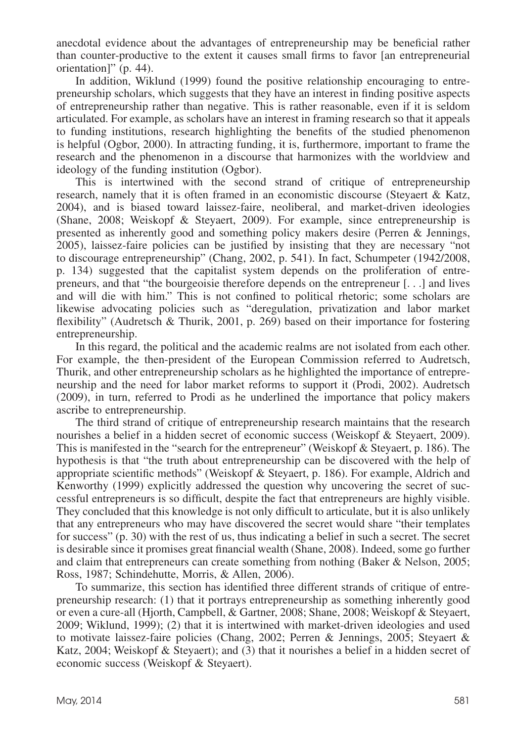anecdotal evidence about the advantages of entrepreneurship may be beneficial rather than counter-productive to the extent it causes small firms to favor [an entrepreneurial orientation]" (p. 44).

In addition, Wiklund (1999) found the positive relationship encouraging to entrepreneurship scholars, which suggests that they have an interest in finding positive aspects of entrepreneurship rather than negative. This is rather reasonable, even if it is seldom articulated. For example, as scholars have an interest in framing research so that it appeals to funding institutions, research highlighting the benefits of the studied phenomenon is helpful (Ogbor, 2000). In attracting funding, it is, furthermore, important to frame the research and the phenomenon in a discourse that harmonizes with the worldview and ideology of the funding institution (Ogbor).

This is intertwined with the second strand of critique of entrepreneurship research, namely that it is often framed in an economistic discourse (Steyaert & Katz, 2004), and is biased toward laissez-faire, neoliberal, and market-driven ideologies (Shane, 2008; Weiskopf & Steyaert, 2009). For example, since entrepreneurship is presented as inherently good and something policy makers desire (Perren & Jennings, 2005), laissez-faire policies can be justified by insisting that they are necessary "not to discourage entrepreneurship" (Chang, 2002, p. 541). In fact, Schumpeter (1942/2008, p. 134) suggested that the capitalist system depends on the proliferation of entrepreneurs, and that "the bourgeoisie therefore depends on the entrepreneur [. . .] and lives and will die with him." This is not confined to political rhetoric; some scholars are likewise advocating policies such as "deregulation, privatization and labor market flexibility" (Audretsch & Thurik, 2001, p. 269) based on their importance for fostering entrepreneurship.

In this regard, the political and the academic realms are not isolated from each other. For example, the then-president of the European Commission referred to Audretsch, Thurik, and other entrepreneurship scholars as he highlighted the importance of entrepreneurship and the need for labor market reforms to support it (Prodi, 2002). Audretsch (2009), in turn, referred to Prodi as he underlined the importance that policy makers ascribe to entrepreneurship.

The third strand of critique of entrepreneurship research maintains that the research nourishes a belief in a hidden secret of economic success (Weiskopf & Steyaert, 2009). This is manifested in the "search for the entrepreneur" (Weiskopf & Steyaert, p. 186). The hypothesis is that "the truth about entrepreneurship can be discovered with the help of appropriate scientific methods" (Weiskopf & Steyaert, p. 186). For example, Aldrich and Kenworthy (1999) explicitly addressed the question why uncovering the secret of successful entrepreneurs is so difficult, despite the fact that entrepreneurs are highly visible. They concluded that this knowledge is not only difficult to articulate, but it is also unlikely that any entrepreneurs who may have discovered the secret would share "their templates for success" (p. 30) with the rest of us, thus indicating a belief in such a secret. The secret is desirable since it promises great financial wealth (Shane, 2008). Indeed, some go further and claim that entrepreneurs can create something from nothing (Baker & Nelson, 2005; Ross, 1987; Schindehutte, Morris, & Allen, 2006).

To summarize, this section has identified three different strands of critique of entrepreneurship research: (1) that it portrays entrepreneurship as something inherently good or even a cure-all (Hjorth, Campbell, & Gartner, 2008; Shane, 2008; Weiskopf & Steyaert, 2009; Wiklund, 1999); (2) that it is intertwined with market-driven ideologies and used to motivate laissez-faire policies (Chang, 2002; Perren & Jennings, 2005; Steyaert & Katz, 2004; Weiskopf & Steyaert); and (3) that it nourishes a belief in a hidden secret of economic success (Weiskopf & Steyaert).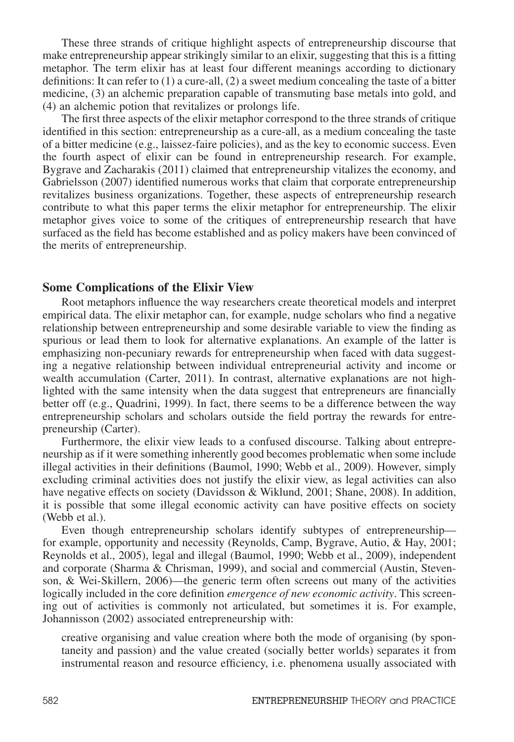These three strands of critique highlight aspects of entrepreneurship discourse that make entrepreneurship appear strikingly similar to an elixir, suggesting that this is a fitting metaphor. The term elixir has at least four different meanings according to dictionary definitions: It can refer to (1) a cure-all, (2) a sweet medium concealing the taste of a bitter medicine, (3) an alchemic preparation capable of transmuting base metals into gold, and (4) an alchemic potion that revitalizes or prolongs life.

The first three aspects of the elixir metaphor correspond to the three strands of critique identified in this section: entrepreneurship as a cure-all, as a medium concealing the taste of a bitter medicine (e.g., laissez-faire policies), and as the key to economic success. Even the fourth aspect of elixir can be found in entrepreneurship research. For example, Bygrave and Zacharakis (2011) claimed that entrepreneurship vitalizes the economy, and Gabrielsson (2007) identified numerous works that claim that corporate entrepreneurship revitalizes business organizations. Together, these aspects of entrepreneurship research contribute to what this paper terms the elixir metaphor for entrepreneurship. The elixir metaphor gives voice to some of the critiques of entrepreneurship research that have surfaced as the field has become established and as policy makers have been convinced of the merits of entrepreneurship.

#### **Some Complications of the Elixir View**

Root metaphors influence the way researchers create theoretical models and interpret empirical data. The elixir metaphor can, for example, nudge scholars who find a negative relationship between entrepreneurship and some desirable variable to view the finding as spurious or lead them to look for alternative explanations. An example of the latter is emphasizing non-pecuniary rewards for entrepreneurship when faced with data suggesting a negative relationship between individual entrepreneurial activity and income or wealth accumulation (Carter, 2011). In contrast, alternative explanations are not highlighted with the same intensity when the data suggest that entrepreneurs are financially better off (e.g., Quadrini, 1999). In fact, there seems to be a difference between the way entrepreneurship scholars and scholars outside the field portray the rewards for entrepreneurship (Carter).

Furthermore, the elixir view leads to a confused discourse. Talking about entrepreneurship as if it were something inherently good becomes problematic when some include illegal activities in their definitions (Baumol, 1990; Webb et al., 2009). However, simply excluding criminal activities does not justify the elixir view, as legal activities can also have negative effects on society (Davidsson & Wiklund, 2001; Shane, 2008). In addition, it is possible that some illegal economic activity can have positive effects on society (Webb et al.).

Even though entrepreneurship scholars identify subtypes of entrepreneurship for example, opportunity and necessity (Reynolds, Camp, Bygrave, Autio, & Hay, 2001; Reynolds et al., 2005), legal and illegal (Baumol, 1990; Webb et al., 2009), independent and corporate (Sharma & Chrisman, 1999), and social and commercial (Austin, Stevenson, & Wei-Skillern, 2006)—the generic term often screens out many of the activities logically included in the core definition *emergence of new economic activity*. This screening out of activities is commonly not articulated, but sometimes it is. For example, Johannisson (2002) associated entrepreneurship with:

creative organising and value creation where both the mode of organising (by spontaneity and passion) and the value created (socially better worlds) separates it from instrumental reason and resource efficiency, i.e. phenomena usually associated with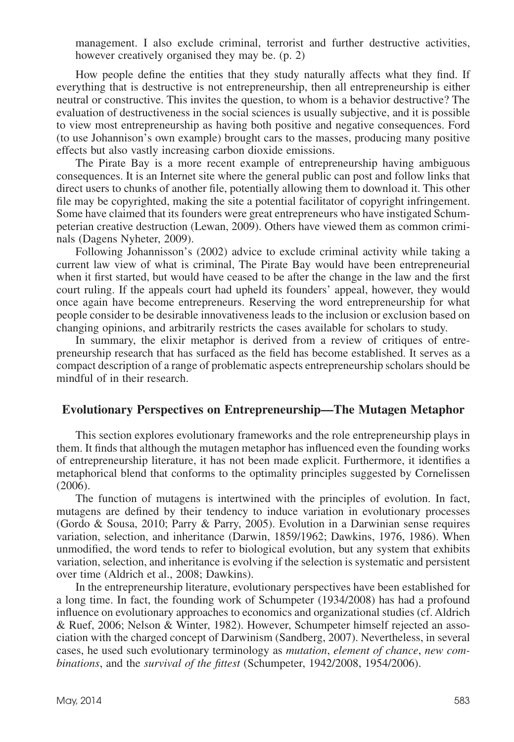management. I also exclude criminal, terrorist and further destructive activities, however creatively organised they may be. (p. 2)

How people define the entities that they study naturally affects what they find. If everything that is destructive is not entrepreneurship, then all entrepreneurship is either neutral or constructive. This invites the question, to whom is a behavior destructive? The evaluation of destructiveness in the social sciences is usually subjective, and it is possible to view most entrepreneurship as having both positive and negative consequences. Ford (to use Johannison's own example) brought cars to the masses, producing many positive effects but also vastly increasing carbon dioxide emissions.

The Pirate Bay is a more recent example of entrepreneurship having ambiguous consequences. It is an Internet site where the general public can post and follow links that direct users to chunks of another file, potentially allowing them to download it. This other file may be copyrighted, making the site a potential facilitator of copyright infringement. Some have claimed that its founders were great entrepreneurs who have instigated Schumpeterian creative destruction (Lewan, 2009). Others have viewed them as common criminals (Dagens Nyheter, 2009).

Following Johannisson's (2002) advice to exclude criminal activity while taking a current law view of what is criminal, The Pirate Bay would have been entrepreneurial when it first started, but would have ceased to be after the change in the law and the first court ruling. If the appeals court had upheld its founders' appeal, however, they would once again have become entrepreneurs. Reserving the word entrepreneurship for what people consider to be desirable innovativeness leads to the inclusion or exclusion based on changing opinions, and arbitrarily restricts the cases available for scholars to study.

In summary, the elixir metaphor is derived from a review of critiques of entrepreneurship research that has surfaced as the field has become established. It serves as a compact description of a range of problematic aspects entrepreneurship scholars should be mindful of in their research.

## **Evolutionary Perspectives on Entrepreneurship—The Mutagen Metaphor**

This section explores evolutionary frameworks and the role entrepreneurship plays in them. It finds that although the mutagen metaphor has influenced even the founding works of entrepreneurship literature, it has not been made explicit. Furthermore, it identifies a metaphorical blend that conforms to the optimality principles suggested by Cornelissen (2006).

The function of mutagens is intertwined with the principles of evolution. In fact, mutagens are defined by their tendency to induce variation in evolutionary processes (Gordo & Sousa, 2010; Parry & Parry, 2005). Evolution in a Darwinian sense requires variation, selection, and inheritance (Darwin, 1859/1962; Dawkins, 1976, 1986). When unmodified, the word tends to refer to biological evolution, but any system that exhibits variation, selection, and inheritance is evolving if the selection is systematic and persistent over time (Aldrich et al., 2008; Dawkins).

In the entrepreneurship literature, evolutionary perspectives have been established for a long time. In fact, the founding work of Schumpeter (1934/2008) has had a profound influence on evolutionary approaches to economics and organizational studies (cf. Aldrich & Ruef, 2006; Nelson & Winter, 1982). However, Schumpeter himself rejected an association with the charged concept of Darwinism (Sandberg, 2007). Nevertheless, in several cases, he used such evolutionary terminology as *mutation*, *element of chance*, *new combinations*, and the *survival of the fittest* (Schumpeter, 1942/2008, 1954/2006).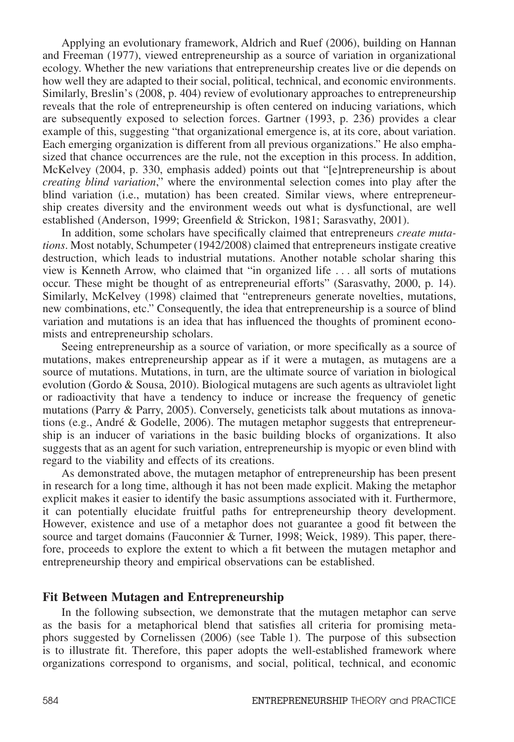Applying an evolutionary framework, Aldrich and Ruef (2006), building on Hannan and Freeman (1977), viewed entrepreneurship as a source of variation in organizational ecology. Whether the new variations that entrepreneurship creates live or die depends on how well they are adapted to their social, political, technical, and economic environments. Similarly, Breslin's (2008, p. 404) review of evolutionary approaches to entrepreneurship reveals that the role of entrepreneurship is often centered on inducing variations, which are subsequently exposed to selection forces. Gartner (1993, p. 236) provides a clear example of this, suggesting "that organizational emergence is, at its core, about variation. Each emerging organization is different from all previous organizations." He also emphasized that chance occurrences are the rule, not the exception in this process. In addition, McKelvey (2004, p. 330, emphasis added) points out that "[e]ntrepreneurship is about *creating blind variation*," where the environmental selection comes into play after the blind variation (i.e., mutation) has been created. Similar views, where entrepreneurship creates diversity and the environment weeds out what is dysfunctional, are well established (Anderson, 1999; Greenfield & Strickon, 1981; Sarasvathy, 2001).

In addition, some scholars have specifically claimed that entrepreneurs *create mutations*. Most notably, Schumpeter (1942/2008) claimed that entrepreneurs instigate creative destruction, which leads to industrial mutations. Another notable scholar sharing this view is Kenneth Arrow, who claimed that "in organized life . . . all sorts of mutations occur. These might be thought of as entrepreneurial efforts" (Sarasvathy, 2000, p. 14). Similarly, McKelvey (1998) claimed that "entrepreneurs generate novelties, mutations, new combinations, etc." Consequently, the idea that entrepreneurship is a source of blind variation and mutations is an idea that has influenced the thoughts of prominent economists and entrepreneurship scholars.

Seeing entrepreneurship as a source of variation, or more specifically as a source of mutations, makes entrepreneurship appear as if it were a mutagen, as mutagens are a source of mutations. Mutations, in turn, are the ultimate source of variation in biological evolution (Gordo & Sousa, 2010). Biological mutagens are such agents as ultraviolet light or radioactivity that have a tendency to induce or increase the frequency of genetic mutations (Parry & Parry, 2005). Conversely, geneticists talk about mutations as innovations (e.g., André & Godelle, 2006). The mutagen metaphor suggests that entrepreneurship is an inducer of variations in the basic building blocks of organizations. It also suggests that as an agent for such variation, entrepreneurship is myopic or even blind with regard to the viability and effects of its creations.

As demonstrated above, the mutagen metaphor of entrepreneurship has been present in research for a long time, although it has not been made explicit. Making the metaphor explicit makes it easier to identify the basic assumptions associated with it. Furthermore, it can potentially elucidate fruitful paths for entrepreneurship theory development. However, existence and use of a metaphor does not guarantee a good fit between the source and target domains (Fauconnier & Turner, 1998; Weick, 1989). This paper, therefore, proceeds to explore the extent to which a fit between the mutagen metaphor and entrepreneurship theory and empirical observations can be established.

#### **Fit Between Mutagen and Entrepreneurship**

In the following subsection, we demonstrate that the mutagen metaphor can serve as the basis for a metaphorical blend that satisfies all criteria for promising metaphors suggested by Cornelissen (2006) (see Table 1). The purpose of this subsection is to illustrate fit. Therefore, this paper adopts the well-established framework where organizations correspond to organisms, and social, political, technical, and economic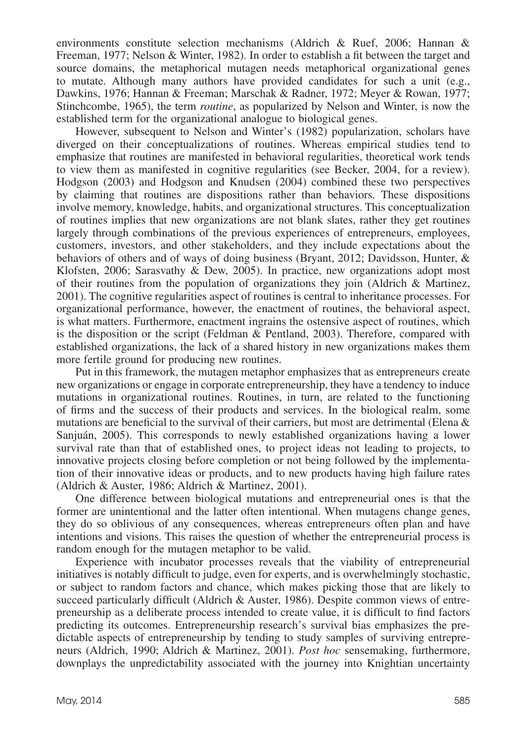environments constitute selection mechanisms (Aldrich & Ruef, 2006; Hannan & Freeman, 1977; Nelson & Winter, 1982). In order to establish a fit between the target and source domains, the metaphorical mutagen needs metaphorical organizational genes to mutate. Although many authors have provided candidates for such a unit (e.g., Dawkins, 1976; Hannan & Freeman; Marschak & Radner, 1972; Meyer & Rowan, 1977; Stinchcombe, 1965), the term *routine*, as popularized by Nelson and Winter, is now the established term for the organizational analogue to biological genes.

However, subsequent to Nelson and Winter's (1982) popularization, scholars have diverged on their conceptualizations of routines. Whereas empirical studies tend to emphasize that routines are manifested in behavioral regularities, theoretical work tends to view them as manifested in cognitive regularities (see Becker, 2004, for a review). Hodgson (2003) and Hodgson and Knudsen (2004) combined these two perspectives by claiming that routines are dispositions rather than behaviors. These dispositions involve memory, knowledge, habits, and organizational structures. This conceptualization of routines implies that new organizations are not blank slates, rather they get routines largely through combinations of the previous experiences of entrepreneurs, employees, customers, investors, and other stakeholders, and they include expectations about the behaviors of others and of ways of doing business (Bryant, 2012; Davidsson, Hunter, & Klofsten, 2006; Sarasvathy & Dew, 2005). In practice, new organizations adopt most of their routines from the population of organizations they join (Aldrich & Martinez, 2001). The cognitive regularities aspect of routines is central to inheritance processes. For organizational performance, however, the enactment of routines, the behavioral aspect, is what matters. Furthermore, enactment ingrains the ostensive aspect of routines, which is the disposition or the script (Feldman & Pentland, 2003). Therefore, compared with established organizations, the lack of a shared history in new organizations makes them more fertile ground for producing new routines.

Put in this framework, the mutagen metaphor emphasizes that as entrepreneurs create new organizations or engage in corporate entrepreneurship, they have a tendency to induce mutations in organizational routines. Routines, in turn, are related to the functioning of firms and the success of their products and services. In the biological realm, some mutations are beneficial to the survival of their carriers, but most are detrimental (Elena  $\&$ Sanjuán, 2005). This corresponds to newly established organizations having a lower survival rate than that of established ones, to project ideas not leading to projects, to innovative projects closing before completion or not being followed by the implementation of their innovative ideas or products, and to new products having high failure rates (Aldrich & Auster, 1986; Aldrich & Martinez, 2001).

One difference between biological mutations and entrepreneurial ones is that the former are unintentional and the latter often intentional. When mutagens change genes, they do so oblivious of any consequences, whereas entrepreneurs often plan and have intentions and visions. This raises the question of whether the entrepreneurial process is random enough for the mutagen metaphor to be valid.

Experience with incubator processes reveals that the viability of entrepreneurial initiatives is notably difficult to judge, even for experts, and is overwhelmingly stochastic, or subject to random factors and chance, which makes picking those that are likely to succeed particularly difficult (Aldrich & Auster, 1986). Despite common views of entrepreneurship as a deliberate process intended to create value, it is difficult to find factors predicting its outcomes. Entrepreneurship research's survival bias emphasizes the predictable aspects of entrepreneurship by tending to study samples of surviving entrepreneurs (Aldrich, 1990; Aldrich & Martinez, 2001). *Post hoc* sensemaking, furthermore, downplays the unpredictability associated with the journey into Knightian uncertainty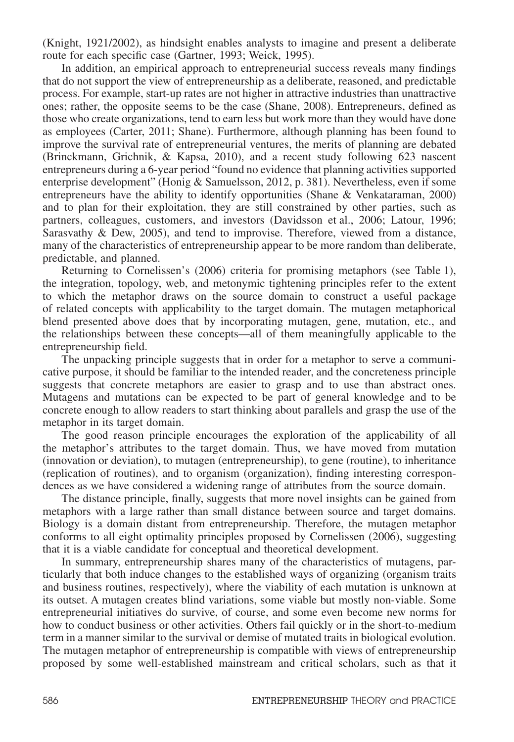(Knight, 1921/2002), as hindsight enables analysts to imagine and present a deliberate route for each specific case (Gartner, 1993; Weick, 1995).

In addition, an empirical approach to entrepreneurial success reveals many findings that do not support the view of entrepreneurship as a deliberate, reasoned, and predictable process. For example, start-up rates are not higher in attractive industries than unattractive ones; rather, the opposite seems to be the case (Shane, 2008). Entrepreneurs, defined as those who create organizations, tend to earn less but work more than they would have done as employees (Carter, 2011; Shane). Furthermore, although planning has been found to improve the survival rate of entrepreneurial ventures, the merits of planning are debated (Brinckmann, Grichnik, & Kapsa, 2010), and a recent study following 623 nascent entrepreneurs during a 6-year period "found no evidence that planning activities supported enterprise development" (Honig & Samuelsson, 2012, p. 381). Nevertheless, even if some entrepreneurs have the ability to identify opportunities (Shane & Venkataraman, 2000) and to plan for their exploitation, they are still constrained by other parties, such as partners, colleagues, customers, and investors (Davidsson et al., 2006; Latour, 1996; Sarasvathy & Dew, 2005), and tend to improvise. Therefore, viewed from a distance, many of the characteristics of entrepreneurship appear to be more random than deliberate, predictable, and planned.

Returning to Cornelissen's (2006) criteria for promising metaphors (see Table 1), the integration, topology, web, and metonymic tightening principles refer to the extent to which the metaphor draws on the source domain to construct a useful package of related concepts with applicability to the target domain. The mutagen metaphorical blend presented above does that by incorporating mutagen, gene, mutation, etc., and the relationships between these concepts—all of them meaningfully applicable to the entrepreneurship field.

The unpacking principle suggests that in order for a metaphor to serve a communicative purpose, it should be familiar to the intended reader, and the concreteness principle suggests that concrete metaphors are easier to grasp and to use than abstract ones. Mutagens and mutations can be expected to be part of general knowledge and to be concrete enough to allow readers to start thinking about parallels and grasp the use of the metaphor in its target domain.

The good reason principle encourages the exploration of the applicability of all the metaphor's attributes to the target domain. Thus, we have moved from mutation (innovation or deviation), to mutagen (entrepreneurship), to gene (routine), to inheritance (replication of routines), and to organism (organization), finding interesting correspondences as we have considered a widening range of attributes from the source domain.

The distance principle, finally, suggests that more novel insights can be gained from metaphors with a large rather than small distance between source and target domains. Biology is a domain distant from entrepreneurship. Therefore, the mutagen metaphor conforms to all eight optimality principles proposed by Cornelissen (2006), suggesting that it is a viable candidate for conceptual and theoretical development.

In summary, entrepreneurship shares many of the characteristics of mutagens, particularly that both induce changes to the established ways of organizing (organism traits and business routines, respectively), where the viability of each mutation is unknown at its outset. A mutagen creates blind variations, some viable but mostly non-viable. Some entrepreneurial initiatives do survive, of course, and some even become new norms for how to conduct business or other activities. Others fail quickly or in the short-to-medium term in a manner similar to the survival or demise of mutated traits in biological evolution. The mutagen metaphor of entrepreneurship is compatible with views of entrepreneurship proposed by some well-established mainstream and critical scholars, such as that it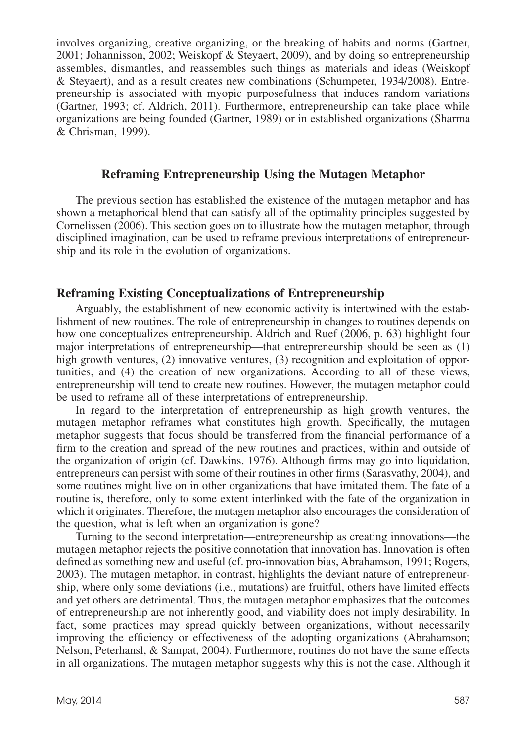involves organizing, creative organizing, or the breaking of habits and norms (Gartner, 2001; Johannisson, 2002; Weiskopf & Steyaert, 2009), and by doing so entrepreneurship assembles, dismantles, and reassembles such things as materials and ideas (Weiskopf & Steyaert), and as a result creates new combinations (Schumpeter, 1934/2008). Entrepreneurship is associated with myopic purposefulness that induces random variations (Gartner, 1993; cf. Aldrich, 2011). Furthermore, entrepreneurship can take place while organizations are being founded (Gartner, 1989) or in established organizations (Sharma & Chrisman, 1999).

# **Reframing Entrepreneurship Using the Mutagen Metaphor**

The previous section has established the existence of the mutagen metaphor and has shown a metaphorical blend that can satisfy all of the optimality principles suggested by Cornelissen (2006). This section goes on to illustrate how the mutagen metaphor, through disciplined imagination, can be used to reframe previous interpretations of entrepreneurship and its role in the evolution of organizations.

#### **Reframing Existing Conceptualizations of Entrepreneurship**

Arguably, the establishment of new economic activity is intertwined with the establishment of new routines. The role of entrepreneurship in changes to routines depends on how one conceptualizes entrepreneurship. Aldrich and Ruef (2006, p. 63) highlight four major interpretations of entrepreneurship—that entrepreneurship should be seen as (1) high growth ventures, (2) innovative ventures, (3) recognition and exploitation of opportunities, and (4) the creation of new organizations. According to all of these views, entrepreneurship will tend to create new routines. However, the mutagen metaphor could be used to reframe all of these interpretations of entrepreneurship.

In regard to the interpretation of entrepreneurship as high growth ventures, the mutagen metaphor reframes what constitutes high growth. Specifically, the mutagen metaphor suggests that focus should be transferred from the financial performance of a firm to the creation and spread of the new routines and practices, within and outside of the organization of origin (cf. Dawkins, 1976). Although firms may go into liquidation, entrepreneurs can persist with some of their routines in other firms (Sarasvathy, 2004), and some routines might live on in other organizations that have imitated them. The fate of a routine is, therefore, only to some extent interlinked with the fate of the organization in which it originates. Therefore, the mutagen metaphor also encourages the consideration of the question, what is left when an organization is gone?

Turning to the second interpretation—entrepreneurship as creating innovations—the mutagen metaphor rejects the positive connotation that innovation has. Innovation is often defined as something new and useful (cf. pro-innovation bias, Abrahamson, 1991; Rogers, 2003). The mutagen metaphor, in contrast, highlights the deviant nature of entrepreneurship, where only some deviations (i.e., mutations) are fruitful, others have limited effects and yet others are detrimental. Thus, the mutagen metaphor emphasizes that the outcomes of entrepreneurship are not inherently good, and viability does not imply desirability. In fact, some practices may spread quickly between organizations, without necessarily improving the efficiency or effectiveness of the adopting organizations (Abrahamson; Nelson, Peterhansl, & Sampat, 2004). Furthermore, routines do not have the same effects in all organizations. The mutagen metaphor suggests why this is not the case. Although it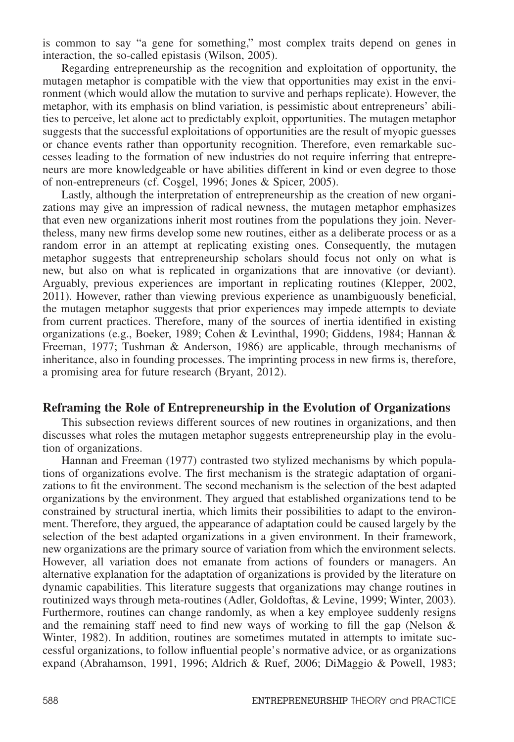is common to say "a gene for something," most complex traits depend on genes in interaction, the so-called epistasis (Wilson, 2005).

Regarding entrepreneurship as the recognition and exploitation of opportunity, the mutagen metaphor is compatible with the view that opportunities may exist in the environment (which would allow the mutation to survive and perhaps replicate). However, the metaphor, with its emphasis on blind variation, is pessimistic about entrepreneurs' abilities to perceive, let alone act to predictably exploit, opportunities. The mutagen metaphor suggests that the successful exploitations of opportunities are the result of myopic guesses or chance events rather than opportunity recognition. Therefore, even remarkable successes leading to the formation of new industries do not require inferring that entrepreneurs are more knowledgeable or have abilities different in kind or even degree to those of non-entrepreneurs (cf. Cosgel, 1996; Jones & Spicer, 2005).

Lastly, although the interpretation of entrepreneurship as the creation of new organizations may give an impression of radical newness, the mutagen metaphor emphasizes that even new organizations inherit most routines from the populations they join. Nevertheless, many new firms develop some new routines, either as a deliberate process or as a random error in an attempt at replicating existing ones. Consequently, the mutagen metaphor suggests that entrepreneurship scholars should focus not only on what is new, but also on what is replicated in organizations that are innovative (or deviant). Arguably, previous experiences are important in replicating routines (Klepper, 2002, 2011). However, rather than viewing previous experience as unambiguously beneficial, the mutagen metaphor suggests that prior experiences may impede attempts to deviate from current practices. Therefore, many of the sources of inertia identified in existing organizations (e.g., Boeker, 1989; Cohen & Levinthal, 1990; Giddens, 1984; Hannan & Freeman, 1977; Tushman & Anderson, 1986) are applicable, through mechanisms of inheritance, also in founding processes. The imprinting process in new firms is, therefore, a promising area for future research (Bryant, 2012).

# **Reframing the Role of Entrepreneurship in the Evolution of Organizations**

This subsection reviews different sources of new routines in organizations, and then discusses what roles the mutagen metaphor suggests entrepreneurship play in the evolution of organizations.

Hannan and Freeman (1977) contrasted two stylized mechanisms by which populations of organizations evolve. The first mechanism is the strategic adaptation of organizations to fit the environment. The second mechanism is the selection of the best adapted organizations by the environment. They argued that established organizations tend to be constrained by structural inertia, which limits their possibilities to adapt to the environment. Therefore, they argued, the appearance of adaptation could be caused largely by the selection of the best adapted organizations in a given environment. In their framework, new organizations are the primary source of variation from which the environment selects. However, all variation does not emanate from actions of founders or managers. An alternative explanation for the adaptation of organizations is provided by the literature on dynamic capabilities. This literature suggests that organizations may change routines in routinized ways through meta-routines (Adler, Goldoftas, & Levine, 1999; Winter, 2003). Furthermore, routines can change randomly, as when a key employee suddenly resigns and the remaining staff need to find new ways of working to fill the gap (Nelson  $\&$ Winter, 1982). In addition, routines are sometimes mutated in attempts to imitate successful organizations, to follow influential people's normative advice, or as organizations expand (Abrahamson, 1991, 1996; Aldrich & Ruef, 2006; DiMaggio & Powell, 1983;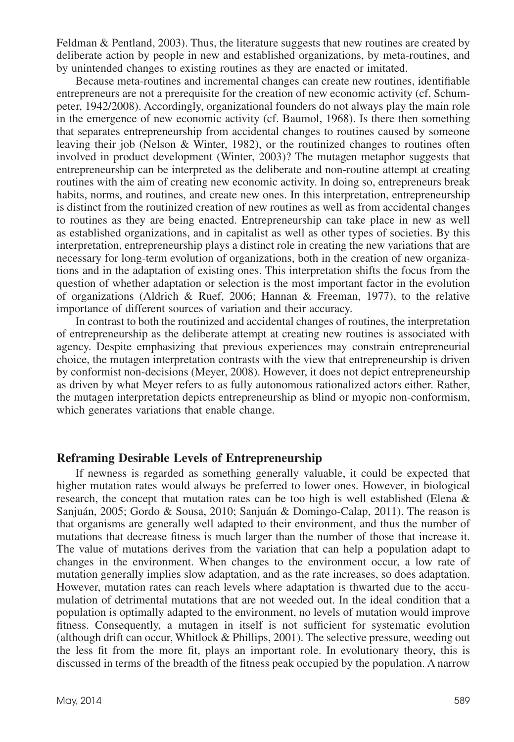Feldman & Pentland, 2003). Thus, the literature suggests that new routines are created by deliberate action by people in new and established organizations, by meta-routines, and by unintended changes to existing routines as they are enacted or imitated.

Because meta-routines and incremental changes can create new routines, identifiable entrepreneurs are not a prerequisite for the creation of new economic activity (cf. Schumpeter, 1942/2008). Accordingly, organizational founders do not always play the main role in the emergence of new economic activity (cf. Baumol, 1968). Is there then something that separates entrepreneurship from accidental changes to routines caused by someone leaving their job (Nelson & Winter, 1982), or the routinized changes to routines often involved in product development (Winter, 2003)? The mutagen metaphor suggests that entrepreneurship can be interpreted as the deliberate and non-routine attempt at creating routines with the aim of creating new economic activity. In doing so, entrepreneurs break habits, norms, and routines, and create new ones. In this interpretation, entrepreneurship is distinct from the routinized creation of new routines as well as from accidental changes to routines as they are being enacted. Entrepreneurship can take place in new as well as established organizations, and in capitalist as well as other types of societies. By this interpretation, entrepreneurship plays a distinct role in creating the new variations that are necessary for long-term evolution of organizations, both in the creation of new organizations and in the adaptation of existing ones. This interpretation shifts the focus from the question of whether adaptation or selection is the most important factor in the evolution of organizations (Aldrich & Ruef, 2006; Hannan & Freeman, 1977), to the relative importance of different sources of variation and their accuracy.

In contrast to both the routinized and accidental changes of routines, the interpretation of entrepreneurship as the deliberate attempt at creating new routines is associated with agency. Despite emphasizing that previous experiences may constrain entrepreneurial choice, the mutagen interpretation contrasts with the view that entrepreneurship is driven by conformist non-decisions (Meyer, 2008). However, it does not depict entrepreneurship as driven by what Meyer refers to as fully autonomous rationalized actors either. Rather, the mutagen interpretation depicts entrepreneurship as blind or myopic non-conformism, which generates variations that enable change.

#### **Reframing Desirable Levels of Entrepreneurship**

If newness is regarded as something generally valuable, it could be expected that higher mutation rates would always be preferred to lower ones. However, in biological research, the concept that mutation rates can be too high is well established (Elena & Sanjuán, 2005; Gordo & Sousa, 2010; Sanjuán & Domingo-Calap, 2011). The reason is that organisms are generally well adapted to their environment, and thus the number of mutations that decrease fitness is much larger than the number of those that increase it. The value of mutations derives from the variation that can help a population adapt to changes in the environment. When changes to the environment occur, a low rate of mutation generally implies slow adaptation, and as the rate increases, so does adaptation. However, mutation rates can reach levels where adaptation is thwarted due to the accumulation of detrimental mutations that are not weeded out. In the ideal condition that a population is optimally adapted to the environment, no levels of mutation would improve fitness. Consequently, a mutagen in itself is not sufficient for systematic evolution (although drift can occur, Whitlock & Phillips, 2001). The selective pressure, weeding out the less fit from the more fit, plays an important role. In evolutionary theory, this is discussed in terms of the breadth of the fitness peak occupied by the population. A narrow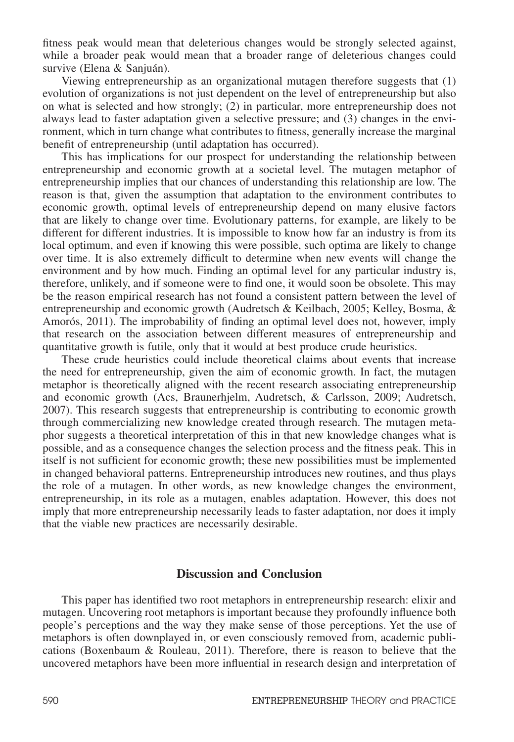fitness peak would mean that deleterious changes would be strongly selected against, while a broader peak would mean that a broader range of deleterious changes could survive (Elena & Sanjuán).

Viewing entrepreneurship as an organizational mutagen therefore suggests that (1) evolution of organizations is not just dependent on the level of entrepreneurship but also on what is selected and how strongly; (2) in particular, more entrepreneurship does not always lead to faster adaptation given a selective pressure; and (3) changes in the environment, which in turn change what contributes to fitness, generally increase the marginal benefit of entrepreneurship (until adaptation has occurred).

This has implications for our prospect for understanding the relationship between entrepreneurship and economic growth at a societal level. The mutagen metaphor of entrepreneurship implies that our chances of understanding this relationship are low. The reason is that, given the assumption that adaptation to the environment contributes to economic growth, optimal levels of entrepreneurship depend on many elusive factors that are likely to change over time. Evolutionary patterns, for example, are likely to be different for different industries. It is impossible to know how far an industry is from its local optimum, and even if knowing this were possible, such optima are likely to change over time. It is also extremely difficult to determine when new events will change the environment and by how much. Finding an optimal level for any particular industry is, therefore, unlikely, and if someone were to find one, it would soon be obsolete. This may be the reason empirical research has not found a consistent pattern between the level of entrepreneurship and economic growth (Audretsch & Keilbach, 2005; Kelley, Bosma, & Amorós, 2011). The improbability of finding an optimal level does not, however, imply that research on the association between different measures of entrepreneurship and quantitative growth is futile, only that it would at best produce crude heuristics.

These crude heuristics could include theoretical claims about events that increase the need for entrepreneurship, given the aim of economic growth. In fact, the mutagen metaphor is theoretically aligned with the recent research associating entrepreneurship and economic growth (Acs, Braunerhjelm, Audretsch, & Carlsson, 2009; Audretsch, 2007). This research suggests that entrepreneurship is contributing to economic growth through commercializing new knowledge created through research. The mutagen metaphor suggests a theoretical interpretation of this in that new knowledge changes what is possible, and as a consequence changes the selection process and the fitness peak. This in itself is not sufficient for economic growth; these new possibilities must be implemented in changed behavioral patterns. Entrepreneurship introduces new routines, and thus plays the role of a mutagen. In other words, as new knowledge changes the environment, entrepreneurship, in its role as a mutagen, enables adaptation. However, this does not imply that more entrepreneurship necessarily leads to faster adaptation, nor does it imply that the viable new practices are necessarily desirable.

## **Discussion and Conclusion**

This paper has identified two root metaphors in entrepreneurship research: elixir and mutagen. Uncovering root metaphors is important because they profoundly influence both people's perceptions and the way they make sense of those perceptions. Yet the use of metaphors is often downplayed in, or even consciously removed from, academic publications (Boxenbaum & Rouleau, 2011). Therefore, there is reason to believe that the uncovered metaphors have been more influential in research design and interpretation of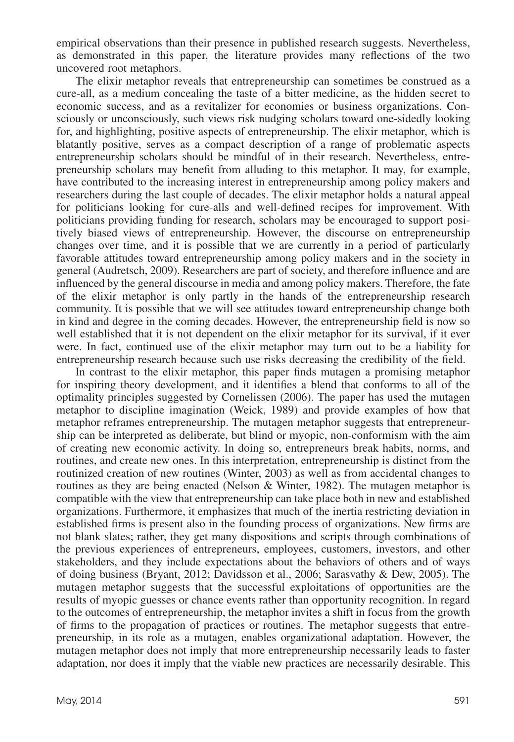empirical observations than their presence in published research suggests. Nevertheless, as demonstrated in this paper, the literature provides many reflections of the two uncovered root metaphors.

The elixir metaphor reveals that entrepreneurship can sometimes be construed as a cure-all, as a medium concealing the taste of a bitter medicine, as the hidden secret to economic success, and as a revitalizer for economies or business organizations. Consciously or unconsciously, such views risk nudging scholars toward one-sidedly looking for, and highlighting, positive aspects of entrepreneurship. The elixir metaphor, which is blatantly positive, serves as a compact description of a range of problematic aspects entrepreneurship scholars should be mindful of in their research. Nevertheless, entrepreneurship scholars may benefit from alluding to this metaphor. It may, for example, have contributed to the increasing interest in entrepreneurship among policy makers and researchers during the last couple of decades. The elixir metaphor holds a natural appeal for politicians looking for cure-alls and well-defined recipes for improvement. With politicians providing funding for research, scholars may be encouraged to support positively biased views of entrepreneurship. However, the discourse on entrepreneurship changes over time, and it is possible that we are currently in a period of particularly favorable attitudes toward entrepreneurship among policy makers and in the society in general (Audretsch, 2009). Researchers are part of society, and therefore influence and are influenced by the general discourse in media and among policy makers. Therefore, the fate of the elixir metaphor is only partly in the hands of the entrepreneurship research community. It is possible that we will see attitudes toward entrepreneurship change both in kind and degree in the coming decades. However, the entrepreneurship field is now so well established that it is not dependent on the elixir metaphor for its survival, if it ever were. In fact, continued use of the elixir metaphor may turn out to be a liability for entrepreneurship research because such use risks decreasing the credibility of the field.

In contrast to the elixir metaphor, this paper finds mutagen a promising metaphor for inspiring theory development, and it identifies a blend that conforms to all of the optimality principles suggested by Cornelissen (2006). The paper has used the mutagen metaphor to discipline imagination (Weick, 1989) and provide examples of how that metaphor reframes entrepreneurship. The mutagen metaphor suggests that entrepreneurship can be interpreted as deliberate, but blind or myopic, non-conformism with the aim of creating new economic activity. In doing so, entrepreneurs break habits, norms, and routines, and create new ones. In this interpretation, entrepreneurship is distinct from the routinized creation of new routines (Winter, 2003) as well as from accidental changes to routines as they are being enacted (Nelson & Winter, 1982). The mutagen metaphor is compatible with the view that entrepreneurship can take place both in new and established organizations. Furthermore, it emphasizes that much of the inertia restricting deviation in established firms is present also in the founding process of organizations. New firms are not blank slates; rather, they get many dispositions and scripts through combinations of the previous experiences of entrepreneurs, employees, customers, investors, and other stakeholders, and they include expectations about the behaviors of others and of ways of doing business (Bryant, 2012; Davidsson et al., 2006; Sarasvathy & Dew, 2005). The mutagen metaphor suggests that the successful exploitations of opportunities are the results of myopic guesses or chance events rather than opportunity recognition. In regard to the outcomes of entrepreneurship, the metaphor invites a shift in focus from the growth of firms to the propagation of practices or routines. The metaphor suggests that entrepreneurship, in its role as a mutagen, enables organizational adaptation. However, the mutagen metaphor does not imply that more entrepreneurship necessarily leads to faster adaptation, nor does it imply that the viable new practices are necessarily desirable. This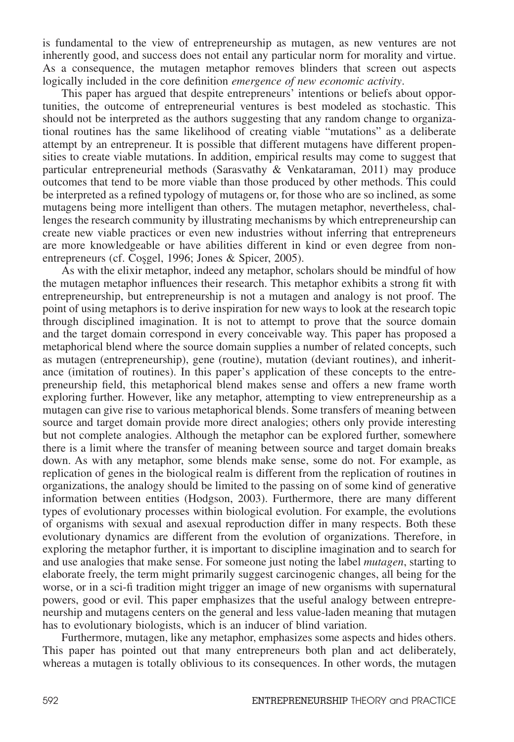is fundamental to the view of entrepreneurship as mutagen, as new ventures are not inherently good, and success does not entail any particular norm for morality and virtue. As a consequence, the mutagen metaphor removes blinders that screen out aspects logically included in the core definition *emergence of new economic activity*.

This paper has argued that despite entrepreneurs' intentions or beliefs about opportunities, the outcome of entrepreneurial ventures is best modeled as stochastic. This should not be interpreted as the authors suggesting that any random change to organizational routines has the same likelihood of creating viable "mutations" as a deliberate attempt by an entrepreneur. It is possible that different mutagens have different propensities to create viable mutations. In addition, empirical results may come to suggest that particular entrepreneurial methods (Sarasvathy  $\&$  Venkataraman, 2011) may produce outcomes that tend to be more viable than those produced by other methods. This could be interpreted as a refined typology of mutagens or, for those who are so inclined, as some mutagens being more intelligent than others. The mutagen metaphor, nevertheless, challenges the research community by illustrating mechanisms by which entrepreneurship can create new viable practices or even new industries without inferring that entrepreneurs are more knowledgeable or have abilities different in kind or even degree from nonentrepreneurs (cf. Cosgel, 1996; Jones & Spicer, 2005).

As with the elixir metaphor, indeed any metaphor, scholars should be mindful of how the mutagen metaphor influences their research. This metaphor exhibits a strong fit with entrepreneurship, but entrepreneurship is not a mutagen and analogy is not proof. The point of using metaphors is to derive inspiration for new ways to look at the research topic through disciplined imagination. It is not to attempt to prove that the source domain and the target domain correspond in every conceivable way. This paper has proposed a metaphorical blend where the source domain supplies a number of related concepts, such as mutagen (entrepreneurship), gene (routine), mutation (deviant routines), and inheritance (imitation of routines). In this paper's application of these concepts to the entrepreneurship field, this metaphorical blend makes sense and offers a new frame worth exploring further. However, like any metaphor, attempting to view entrepreneurship as a mutagen can give rise to various metaphorical blends. Some transfers of meaning between source and target domain provide more direct analogies; others only provide interesting but not complete analogies. Although the metaphor can be explored further, somewhere there is a limit where the transfer of meaning between source and target domain breaks down. As with any metaphor, some blends make sense, some do not. For example, as replication of genes in the biological realm is different from the replication of routines in organizations, the analogy should be limited to the passing on of some kind of generative information between entities (Hodgson, 2003). Furthermore, there are many different types of evolutionary processes within biological evolution. For example, the evolutions of organisms with sexual and asexual reproduction differ in many respects. Both these evolutionary dynamics are different from the evolution of organizations. Therefore, in exploring the metaphor further, it is important to discipline imagination and to search for and use analogies that make sense. For someone just noting the label *mutagen*, starting to elaborate freely, the term might primarily suggest carcinogenic changes, all being for the worse, or in a sci-fi tradition might trigger an image of new organisms with supernatural powers, good or evil. This paper emphasizes that the useful analogy between entrepreneurship and mutagens centers on the general and less value-laden meaning that mutagen has to evolutionary biologists, which is an inducer of blind variation.

Furthermore, mutagen, like any metaphor, emphasizes some aspects and hides others. This paper has pointed out that many entrepreneurs both plan and act deliberately, whereas a mutagen is totally oblivious to its consequences. In other words, the mutagen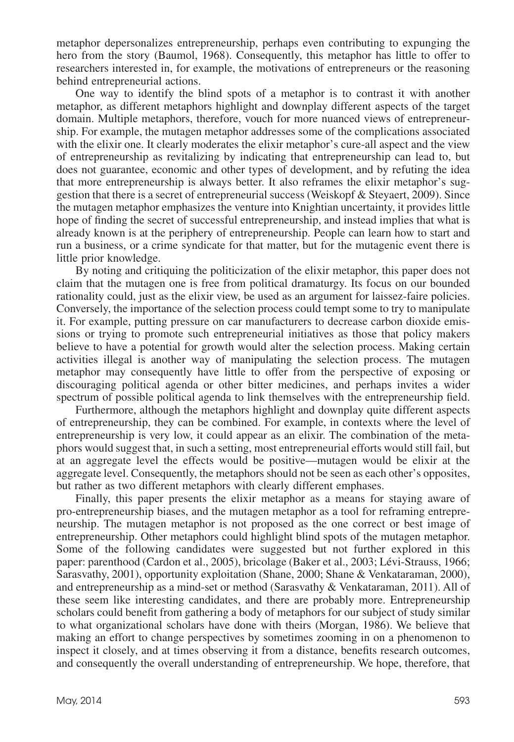metaphor depersonalizes entrepreneurship, perhaps even contributing to expunging the hero from the story (Baumol, 1968). Consequently, this metaphor has little to offer to researchers interested in, for example, the motivations of entrepreneurs or the reasoning behind entrepreneurial actions.

One way to identify the blind spots of a metaphor is to contrast it with another metaphor, as different metaphors highlight and downplay different aspects of the target domain. Multiple metaphors, therefore, vouch for more nuanced views of entrepreneurship. For example, the mutagen metaphor addresses some of the complications associated with the elixir one. It clearly moderates the elixir metaphor's cure-all aspect and the view of entrepreneurship as revitalizing by indicating that entrepreneurship can lead to, but does not guarantee, economic and other types of development, and by refuting the idea that more entrepreneurship is always better. It also reframes the elixir metaphor's suggestion that there is a secret of entrepreneurial success (Weiskopf & Steyaert, 2009). Since the mutagen metaphor emphasizes the venture into Knightian uncertainty, it provides little hope of finding the secret of successful entrepreneurship, and instead implies that what is already known is at the periphery of entrepreneurship. People can learn how to start and run a business, or a crime syndicate for that matter, but for the mutagenic event there is little prior knowledge.

By noting and critiquing the politicization of the elixir metaphor, this paper does not claim that the mutagen one is free from political dramaturgy. Its focus on our bounded rationality could, just as the elixir view, be used as an argument for laissez-faire policies. Conversely, the importance of the selection process could tempt some to try to manipulate it. For example, putting pressure on car manufacturers to decrease carbon dioxide emissions or trying to promote such entrepreneurial initiatives as those that policy makers believe to have a potential for growth would alter the selection process. Making certain activities illegal is another way of manipulating the selection process. The mutagen metaphor may consequently have little to offer from the perspective of exposing or discouraging political agenda or other bitter medicines, and perhaps invites a wider spectrum of possible political agenda to link themselves with the entrepreneurship field.

Furthermore, although the metaphors highlight and downplay quite different aspects of entrepreneurship, they can be combined. For example, in contexts where the level of entrepreneurship is very low, it could appear as an elixir. The combination of the metaphors would suggest that, in such a setting, most entrepreneurial efforts would still fail, but at an aggregate level the effects would be positive—mutagen would be elixir at the aggregate level. Consequently, the metaphors should not be seen as each other's opposites, but rather as two different metaphors with clearly different emphases.

Finally, this paper presents the elixir metaphor as a means for staying aware of pro-entrepreneurship biases, and the mutagen metaphor as a tool for reframing entrepreneurship. The mutagen metaphor is not proposed as the one correct or best image of entrepreneurship. Other metaphors could highlight blind spots of the mutagen metaphor. Some of the following candidates were suggested but not further explored in this paper: parenthood (Cardon et al., 2005), bricolage (Baker et al., 2003; Lévi-Strauss, 1966; Sarasvathy, 2001), opportunity exploitation (Shane, 2000; Shane & Venkataraman, 2000), and entrepreneurship as a mind-set or method (Sarasvathy & Venkataraman, 2011). All of these seem like interesting candidates, and there are probably more. Entrepreneurship scholars could benefit from gathering a body of metaphors for our subject of study similar to what organizational scholars have done with theirs (Morgan, 1986). We believe that making an effort to change perspectives by sometimes zooming in on a phenomenon to inspect it closely, and at times observing it from a distance, benefits research outcomes, and consequently the overall understanding of entrepreneurship. We hope, therefore, that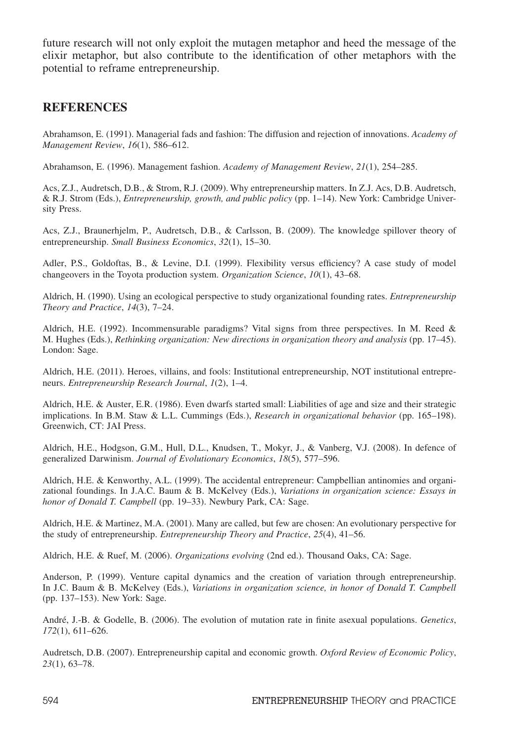future research will not only exploit the mutagen metaphor and heed the message of the elixir metaphor, but also contribute to the identification of other metaphors with the potential to reframe entrepreneurship.

# **REFERENCES**

Abrahamson, E. (1991). Managerial fads and fashion: The diffusion and rejection of innovations. *Academy of Management Review*, *16*(1), 586–612.

Abrahamson, E. (1996). Management fashion. *Academy of Management Review*, *21*(1), 254–285.

Acs, Z.J., Audretsch, D.B., & Strom, R.J. (2009). Why entrepreneurship matters. In Z.J. Acs, D.B. Audretsch, & R.J. Strom (Eds.), *Entrepreneurship, growth, and public policy* (pp. 1–14). New York: Cambridge University Press.

Acs, Z.J., Braunerhjelm, P., Audretsch, D.B., & Carlsson, B. (2009). The knowledge spillover theory of entrepreneurship. *Small Business Economics*, *32*(1), 15–30.

Adler, P.S., Goldoftas, B., & Levine, D.I. (1999). Flexibility versus efficiency? A case study of model changeovers in the Toyota production system. *Organization Science*, *10*(1), 43–68.

Aldrich, H. (1990). Using an ecological perspective to study organizational founding rates. *Entrepreneurship Theory and Practice*, *14*(3), 7–24.

Aldrich, H.E. (1992). Incommensurable paradigms? Vital signs from three perspectives. In M. Reed & M. Hughes (Eds.), *Rethinking organization: New directions in organization theory and analysis* (pp. 17–45). London: Sage.

Aldrich, H.E. (2011). Heroes, villains, and fools: Institutional entrepreneurship, NOT institutional entrepreneurs. *Entrepreneurship Research Journal*, *1*(2), 1–4.

Aldrich, H.E. & Auster, E.R. (1986). Even dwarfs started small: Liabilities of age and size and their strategic implications. In B.M. Staw & L.L. Cummings (Eds.), *Research in organizational behavior* (pp. 165–198). Greenwich, CT: JAI Press.

Aldrich, H.E., Hodgson, G.M., Hull, D.L., Knudsen, T., Mokyr, J., & Vanberg, V.J. (2008). In defence of generalized Darwinism. *Journal of Evolutionary Economics*, *18*(5), 577–596.

Aldrich, H.E. & Kenworthy, A.L. (1999). The accidental entrepreneur: Campbellian antinomies and organizational foundings. In J.A.C. Baum & B. McKelvey (Eds.), *Variations in organization science: Essays in honor of Donald T. Campbell* (pp. 19–33). Newbury Park, CA: Sage.

Aldrich, H.E. & Martinez, M.A. (2001). Many are called, but few are chosen: An evolutionary perspective for the study of entrepreneurship. *Entrepreneurship Theory and Practice*, *25*(4), 41–56.

Aldrich, H.E. & Ruef, M. (2006). *Organizations evolving* (2nd ed.). Thousand Oaks, CA: Sage.

Anderson, P. (1999). Venture capital dynamics and the creation of variation through entrepreneurship. In J.C. Baum & B. McKelvey (Eds.), *Variations in organization science, in honor of Donald T. Campbell* (pp. 137–153). New York: Sage.

André, J.-B. & Godelle, B. (2006). The evolution of mutation rate in finite asexual populations. *Genetics*, *172*(1), 611–626.

Audretsch, D.B. (2007). Entrepreneurship capital and economic growth. *Oxford Review of Economic Policy*, *23*(1), 63–78.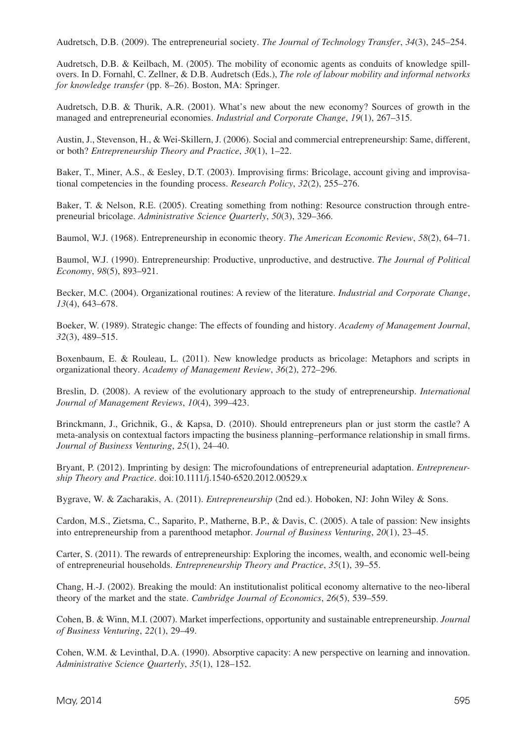Audretsch, D.B. (2009). The entrepreneurial society. *The Journal of Technology Transfer*, *34*(3), 245–254.

Audretsch, D.B. & Keilbach, M. (2005). The mobility of economic agents as conduits of knowledge spillovers. In D. Fornahl, C. Zellner, & D.B. Audretsch (Eds.), *The role of labour mobility and informal networks for knowledge transfer* (pp. 8–26). Boston, MA: Springer.

Audretsch, D.B. & Thurik, A.R. (2001). What's new about the new economy? Sources of growth in the managed and entrepreneurial economies. *Industrial and Corporate Change*, *19*(1), 267–315.

Austin, J., Stevenson, H., & Wei-Skillern, J. (2006). Social and commercial entrepreneurship: Same, different, or both? *Entrepreneurship Theory and Practice*, *30*(1), 1–22.

Baker, T., Miner, A.S., & Eesley, D.T. (2003). Improvising firms: Bricolage, account giving and improvisational competencies in the founding process. *Research Policy*, *32*(2), 255–276.

Baker, T. & Nelson, R.E. (2005). Creating something from nothing: Resource construction through entrepreneurial bricolage. *Administrative Science Quarterly*, *50*(3), 329–366.

Baumol, W.J. (1968). Entrepreneurship in economic theory. *The American Economic Review*, *58*(2), 64–71.

Baumol, W.J. (1990). Entrepreneurship: Productive, unproductive, and destructive. *The Journal of Political Economy*, *98*(5), 893–921.

Becker, M.C. (2004). Organizational routines: A review of the literature. *Industrial and Corporate Change*, *13*(4), 643–678.

Boeker, W. (1989). Strategic change: The effects of founding and history. *Academy of Management Journal*, *32*(3), 489–515.

Boxenbaum, E. & Rouleau, L. (2011). New knowledge products as bricolage: Metaphors and scripts in organizational theory. *Academy of Management Review*, *36*(2), 272–296.

Breslin, D. (2008). A review of the evolutionary approach to the study of entrepreneurship. *International Journal of Management Reviews*, *10*(4), 399–423.

Brinckmann, J., Grichnik, G., & Kapsa, D. (2010). Should entrepreneurs plan or just storm the castle? A meta-analysis on contextual factors impacting the business planning–performance relationship in small firms. *Journal of Business Venturing*, *25*(1), 24–40.

Bryant, P. (2012). Imprinting by design: The microfoundations of entrepreneurial adaptation. *Entrepreneurship Theory and Practice*. doi:10.1111/j.1540-6520.2012.00529.x

Bygrave, W. & Zacharakis, A. (2011). *Entrepreneurship* (2nd ed.). Hoboken, NJ: John Wiley & Sons.

Cardon, M.S., Zietsma, C., Saparito, P., Matherne, B.P., & Davis, C. (2005). A tale of passion: New insights into entrepreneurship from a parenthood metaphor. *Journal of Business Venturing*, *20*(1), 23–45.

Carter, S. (2011). The rewards of entrepreneurship: Exploring the incomes, wealth, and economic well-being of entrepreneurial households. *Entrepreneurship Theory and Practice*, *35*(1), 39–55.

Chang, H.-J. (2002). Breaking the mould: An institutionalist political economy alternative to the neo-liberal theory of the market and the state. *Cambridge Journal of Economics*, *26*(5), 539–559.

Cohen, B. & Winn, M.I. (2007). Market imperfections, opportunity and sustainable entrepreneurship. *Journal of Business Venturing*, *22*(1), 29–49.

Cohen, W.M. & Levinthal, D.A. (1990). Absorptive capacity: A new perspective on learning and innovation. *Administrative Science Quarterly*, *35*(1), 128–152.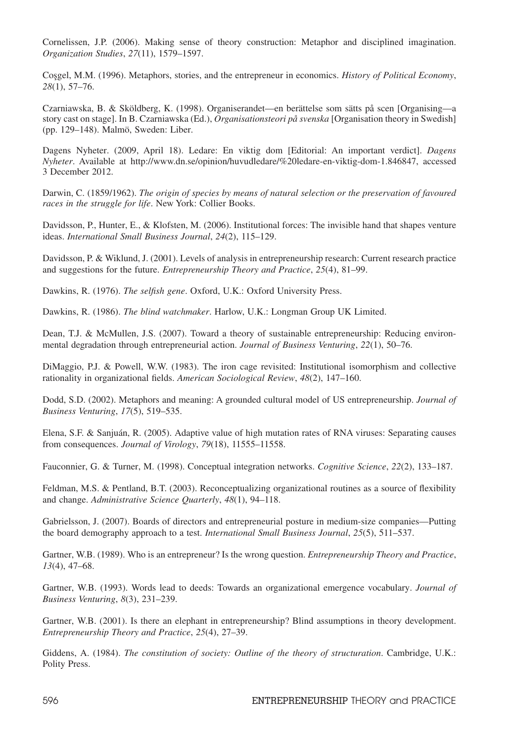Cornelissen, J.P. (2006). Making sense of theory construction: Metaphor and disciplined imagination. *Organization Studies*, *27*(11), 1579–1597.

Cosgel, M.M. (1996). Metaphors, stories, and the entrepreneur in economics. *History of Political Economy*, *28*(1), 57–76.

Czarniawska, B. & Sköldberg, K. (1998). Organiserandet—en berättelse som sätts på scen [Organising—a story cast on stage]. In B. Czarniawska (Ed.), *Organisationsteori på svenska* [Organisation theory in Swedish] (pp. 129–148). Malmö, Sweden: Liber.

Dagens Nyheter. (2009, April 18). Ledare: En viktig dom [Editorial: An important verdict]. *Dagens Nyheter*. Available at http://www.dn.se/opinion/huvudledare/%20ledare-en-viktig-dom-1.846847, accessed 3 December 2012.

Darwin, C. (1859/1962). *The origin of species by means of natural selection or the preservation of favoured races in the struggle for life*. New York: Collier Books.

Davidsson, P., Hunter, E., & Klofsten, M. (2006). Institutional forces: The invisible hand that shapes venture ideas. *International Small Business Journal*, *24*(2), 115–129.

Davidsson, P. & Wiklund, J. (2001). Levels of analysis in entrepreneurship research: Current research practice and suggestions for the future. *Entrepreneurship Theory and Practice*, *25*(4), 81–99.

Dawkins, R. (1976). *The selfish gene*. Oxford, U.K.: Oxford University Press.

Dawkins, R. (1986). *The blind watchmaker*. Harlow, U.K.: Longman Group UK Limited.

Dean, T.J. & McMullen, J.S. (2007). Toward a theory of sustainable entrepreneurship: Reducing environmental degradation through entrepreneurial action. *Journal of Business Venturing*, *22*(1), 50–76.

DiMaggio, P.J. & Powell, W.W. (1983). The iron cage revisited: Institutional isomorphism and collective rationality in organizational fields. *American Sociological Review*, *48*(2), 147–160.

Dodd, S.D. (2002). Metaphors and meaning: A grounded cultural model of US entrepreneurship. *Journal of Business Venturing*, *17*(5), 519–535.

Elena, S.F. & Sanjuán, R. (2005). Adaptive value of high mutation rates of RNA viruses: Separating causes from consequences. *Journal of Virology*, *79*(18), 11555–11558.

Fauconnier, G. & Turner, M. (1998). Conceptual integration networks. *Cognitive Science*, *22*(2), 133–187.

Feldman, M.S. & Pentland, B.T. (2003). Reconceptualizing organizational routines as a source of flexibility and change. *Administrative Science Quarterly*, *48*(1), 94–118.

Gabrielsson, J. (2007). Boards of directors and entrepreneurial posture in medium-size companies—Putting the board demography approach to a test. *International Small Business Journal*, *25*(5), 511–537.

Gartner, W.B. (1989). Who is an entrepreneur? Is the wrong question. *Entrepreneurship Theory and Practice*, *13*(4), 47–68.

Gartner, W.B. (1993). Words lead to deeds: Towards an organizational emergence vocabulary. *Journal of Business Venturing*, *8*(3), 231–239.

Gartner, W.B. (2001). Is there an elephant in entrepreneurship? Blind assumptions in theory development. *Entrepreneurship Theory and Practice*, *25*(4), 27–39.

Giddens, A. (1984). *The constitution of society: Outline of the theory of structuration*. Cambridge, U.K.: Polity Press.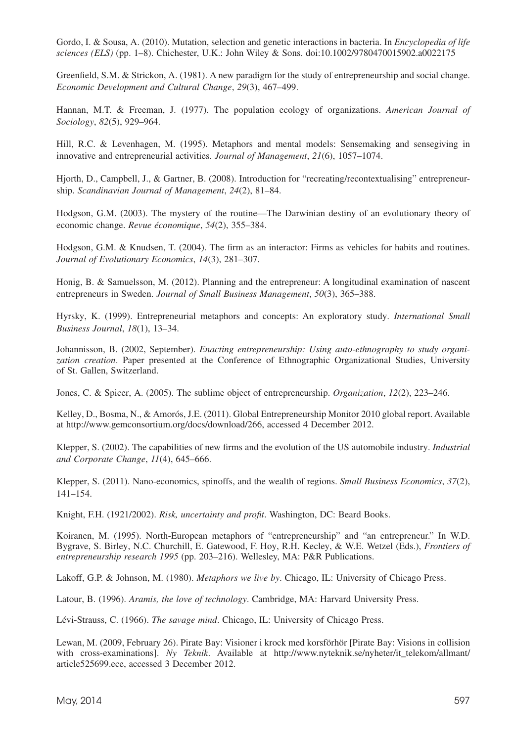Gordo, I. & Sousa, A. (2010). Mutation, selection and genetic interactions in bacteria. In *Encyclopedia of life sciences (ELS)* (pp. 1–8). Chichester, U.K.: John Wiley & Sons. doi:10.1002/9780470015902.a0022175

Greenfield, S.M. & Strickon, A. (1981). A new paradigm for the study of entrepreneurship and social change. *Economic Development and Cultural Change*, *29*(3), 467–499.

Hannan, M.T. & Freeman, J. (1977). The population ecology of organizations. *American Journal of Sociology*, *82*(5), 929–964.

Hill, R.C. & Levenhagen, M. (1995). Metaphors and mental models: Sensemaking and sensegiving in innovative and entrepreneurial activities. *Journal of Management*, *21*(6), 1057–1074.

Hjorth, D., Campbell, J., & Gartner, B. (2008). Introduction for "recreating/recontextualising" entrepreneurship. *Scandinavian Journal of Management*, *24*(2), 81–84.

Hodgson, G.M. (2003). The mystery of the routine—The Darwinian destiny of an evolutionary theory of economic change. *Revue économique*, *54*(2), 355–384.

Hodgson, G.M. & Knudsen, T. (2004). The firm as an interactor: Firms as vehicles for habits and routines. *Journal of Evolutionary Economics*, *14*(3), 281–307.

Honig, B. & Samuelsson, M. (2012). Planning and the entrepreneur: A longitudinal examination of nascent entrepreneurs in Sweden. *Journal of Small Business Management*, *50*(3), 365–388.

Hyrsky, K. (1999). Entrepreneurial metaphors and concepts: An exploratory study. *International Small Business Journal*, *18*(1), 13–34.

Johannisson, B. (2002, September). *Enacting entrepreneurship: Using auto-ethnography to study organization creation*. Paper presented at the Conference of Ethnographic Organizational Studies, University of St. Gallen, Switzerland.

Jones, C. & Spicer, A. (2005). The sublime object of entrepreneurship. *Organization*, *12*(2), 223–246.

Kelley, D., Bosma, N., & Amorós, J.E. (2011). Global Entrepreneurship Monitor 2010 global report. Available at http://www.gemconsortium.org/docs/download/266, accessed 4 December 2012.

Klepper, S. (2002). The capabilities of new firms and the evolution of the US automobile industry. *Industrial and Corporate Change*, *11*(4), 645–666.

Klepper, S. (2011). Nano-economics, spinoffs, and the wealth of regions. *Small Business Economics*, *37*(2), 141–154.

Knight, F.H. (1921/2002). *Risk, uncertainty and profit*. Washington, DC: Beard Books.

Koiranen, M. (1995). North-European metaphors of "entrepreneurship" and "an entrepreneur." In W.D. Bygrave, S. Birley, N.C. Churchill, E. Gatewood, F. Hoy, R.H. Kecley, & W.E. Wetzel (Eds.), *Frontiers of entrepreneurship research 1995* (pp. 203–216). Wellesley, MA: P&R Publications.

Lakoff, G.P. & Johnson, M. (1980). *Metaphors we live by*. Chicago, IL: University of Chicago Press.

Latour, B. (1996). *Aramis, the love of technology*. Cambridge, MA: Harvard University Press.

Lévi-Strauss, C. (1966). *The savage mind*. Chicago, IL: University of Chicago Press.

Lewan, M. (2009, February 26). Pirate Bay: Visioner i krock med korsförhör [Pirate Bay: Visions in collision with cross-examinations]. Ny Teknik. Available at http://www.nyteknik.se/nyheter/it\_telekom/allmant/ article525699.ece, accessed 3 December 2012.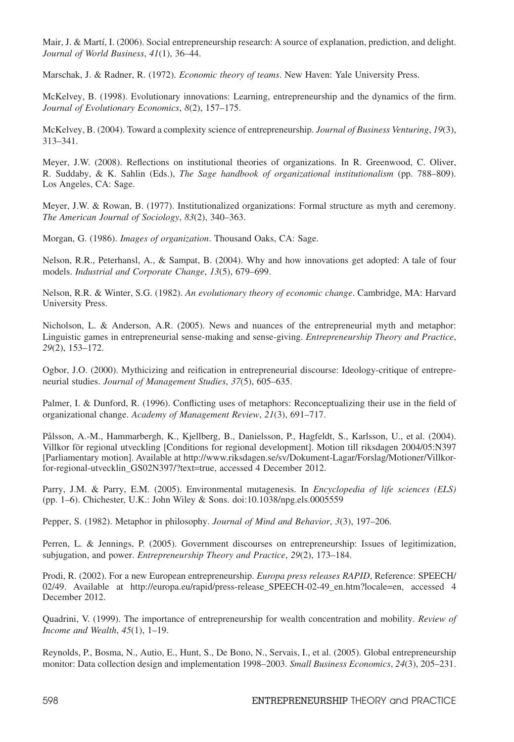Mair, J. & Martí, I. (2006). Social entrepreneurship research: A source of explanation, prediction, and delight. *Journal of World Business*, *41*(1), 36–44.

Marschak, J. & Radner, R. (1972). *Economic theory of teams*. New Haven: Yale University Press.

McKelvey, B. (1998). Evolutionary innovations: Learning, entrepreneurship and the dynamics of the firm. *Journal of Evolutionary Economics*, *8*(2), 157–175.

McKelvey, B. (2004). Toward a complexity science of entrepreneurship. *Journal of Business Venturing*, *19*(3), 313–341.

Meyer, J.W. (2008). Reflections on institutional theories of organizations. In R. Greenwood, C. Oliver, R. Suddaby, & K. Sahlin (Eds.), *The Sage handbook of organizational institutionalism* (pp. 788–809). Los Angeles, CA: Sage.

Meyer, J.W. & Rowan, B. (1977). Institutionalized organizations: Formal structure as myth and ceremony. *The American Journal of Sociology*, *83*(2), 340–363.

Morgan, G. (1986). *Images of organization*. Thousand Oaks, CA: Sage.

Nelson, R.R., Peterhansl, A., & Sampat, B. (2004). Why and how innovations get adopted: A tale of four models. *Industrial and Corporate Change*, *13*(5), 679–699.

Nelson, R.R. & Winter, S.G. (1982). *An evolutionary theory of economic change*. Cambridge, MA: Harvard University Press.

Nicholson, L. & Anderson, A.R. (2005). News and nuances of the entrepreneurial myth and metaphor: Linguistic games in entrepreneurial sense-making and sense-giving. *Entrepreneurship Theory and Practice*, *29*(2), 153–172.

Ogbor, J.O. (2000). Mythicizing and reification in entrepreneurial discourse: Ideology-critique of entrepreneurial studies. *Journal of Management Studies*, *37*(5), 605–635.

Palmer, I. & Dunford, R. (1996). Conflicting uses of metaphors: Reconceptualizing their use in the field of organizational change. *Academy of Management Review*, *21*(3), 691–717.

Pålsson, A.-M., Hammarbergh, K., Kjellberg, B., Danielsson, P., Hagfeldt, S., Karlsson, U., et al. (2004). Villkor för regional utveckling [Conditions for regional development]. Motion till riksdagen 2004/05:N397 [Parliamentary motion]. Available at http://www.riksdagen.se/sv/Dokument-Lagar/Forslag/Motioner/Villkorfor-regional-utvecklin\_GS02N397/?text=true, accessed 4 December 2012.

Parry, J.M. & Parry, E.M. (2005). Environmental mutagenesis. In *Encyclopedia of life sciences (ELS)* (pp. 1–6). Chichester, U.K.: John Wiley & Sons. doi:10.1038/npg.els.0005559

Pepper, S. (1982). Metaphor in philosophy. *Journal of Mind and Behavior*, *3*(3), 197–206.

Perren, L. & Jennings, P. (2005). Government discourses on entrepreneurship: Issues of legitimization, subjugation, and power. *Entrepreneurship Theory and Practice*, *29*(2), 173–184.

Prodi, R. (2002). For a new European entrepreneurship. *Europa press releases RAPID*, Reference: SPEECH/ 02/49. Available at http://europa.eu/rapid/press-release\_SPEECH-02-49\_en.htm?locale=en, accessed 4 December 2012.

Quadrini, V. (1999). The importance of entrepreneurship for wealth concentration and mobility. *Review of Income and Wealth*, *45*(1), 1–19.

Reynolds, P., Bosma, N., Autio, E., Hunt, S., De Bono, N., Servais, I., et al. (2005). Global entrepreneurship monitor: Data collection design and implementation 1998–2003. *Small Business Economics*, *24*(3), 205–231.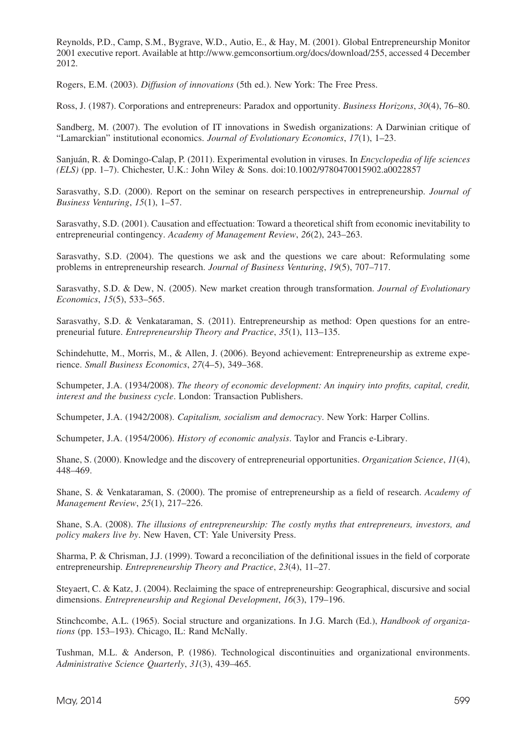Reynolds, P.D., Camp, S.M., Bygrave, W.D., Autio, E., & Hay, M. (2001). Global Entrepreneurship Monitor 2001 executive report. Available at http://www.gemconsortium.org/docs/download/255, accessed 4 December 2012.

Rogers, E.M. (2003). *Diffusion of innovations* (5th ed.). New York: The Free Press.

Ross, J. (1987). Corporations and entrepreneurs: Paradox and opportunity. *Business Horizons*, *30*(4), 76–80.

Sandberg, M. (2007). The evolution of IT innovations in Swedish organizations: A Darwinian critique of "Lamarckian" institutional economics. *Journal of Evolutionary Economics*, *17*(1), 1–23.

Sanjuán, R. & Domingo-Calap, P. (2011). Experimental evolution in viruses. In *Encyclopedia of life sciences (ELS)* (pp. 1–7). Chichester, U.K.: John Wiley & Sons. doi:10.1002/9780470015902.a0022857

Sarasvathy, S.D. (2000). Report on the seminar on research perspectives in entrepreneurship. *Journal of Business Venturing*, *15*(1), 1–57.

Sarasvathy, S.D. (2001). Causation and effectuation: Toward a theoretical shift from economic inevitability to entrepreneurial contingency. *Academy of Management Review*, *26*(2), 243–263.

Sarasvathy, S.D. (2004). The questions we ask and the questions we care about: Reformulating some problems in entrepreneurship research. *Journal of Business Venturing*, *19*(5), 707–717.

Sarasvathy, S.D. & Dew, N. (2005). New market creation through transformation. *Journal of Evolutionary Economics*, *15*(5), 533–565.

Sarasvathy, S.D. & Venkataraman, S. (2011). Entrepreneurship as method: Open questions for an entrepreneurial future. *Entrepreneurship Theory and Practice*, *35*(1), 113–135.

Schindehutte, M., Morris, M., & Allen, J. (2006). Beyond achievement: Entrepreneurship as extreme experience. *Small Business Economics*, *27*(4–5), 349–368.

Schumpeter, J.A. (1934/2008). *The theory of economic development: An inquiry into profits, capital, credit, interest and the business cycle*. London: Transaction Publishers.

Schumpeter, J.A. (1942/2008). *Capitalism, socialism and democracy*. New York: Harper Collins.

Schumpeter, J.A. (1954/2006). *History of economic analysis*. Taylor and Francis e-Library.

Shane, S. (2000). Knowledge and the discovery of entrepreneurial opportunities. *Organization Science*, *11*(4), 448–469.

Shane, S. & Venkataraman, S. (2000). The promise of entrepreneurship as a field of research. *Academy of Management Review*, *25*(1), 217–226.

Shane, S.A. (2008). *The illusions of entrepreneurship: The costly myths that entrepreneurs, investors, and policy makers live by*. New Haven, CT: Yale University Press.

Sharma, P. & Chrisman, J.J. (1999). Toward a reconciliation of the definitional issues in the field of corporate entrepreneurship. *Entrepreneurship Theory and Practice*, *23*(4), 11–27.

Steyaert, C. & Katz, J. (2004). Reclaiming the space of entrepreneurship: Geographical, discursive and social dimensions. *Entrepreneurship and Regional Development*, *16*(3), 179–196.

Stinchcombe, A.L. (1965). Social structure and organizations. In J.G. March (Ed.), *Handbook of organizations* (pp. 153–193). Chicago, IL: Rand McNally.

Tushman, M.L. & Anderson, P. (1986). Technological discontinuities and organizational environments. *Administrative Science Quarterly*, *31*(3), 439–465.